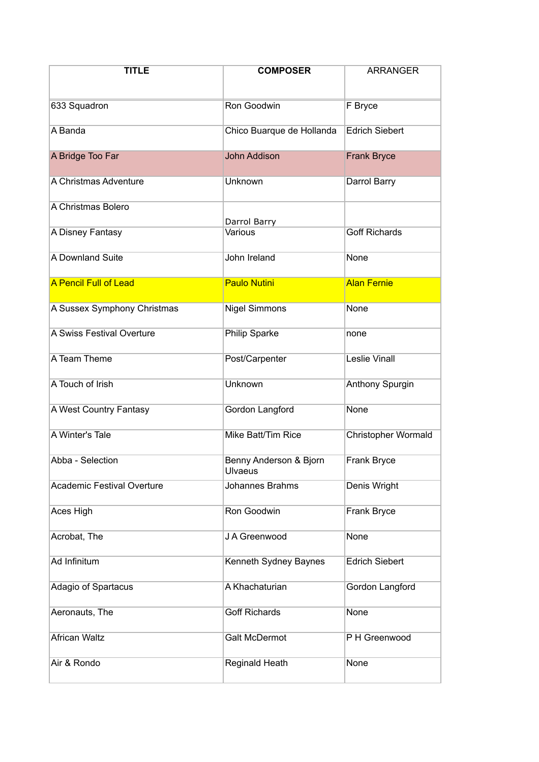| <b>TITLE</b>                      | <b>COMPOSER</b>                   | <b>ARRANGER</b>            |
|-----------------------------------|-----------------------------------|----------------------------|
| 633 Squadron                      | Ron Goodwin                       | F Bryce                    |
| A Banda                           | Chico Buarque de Hollanda         | <b>Edrich Siebert</b>      |
| A Bridge Too Far                  | <b>John Addison</b>               | <b>Frank Bryce</b>         |
| A Christmas Adventure             | Unknown                           | Darrol Barry               |
| A Christmas Bolero                | Darrol Barry                      |                            |
| A Disney Fantasy                  | Various                           | <b>Goff Richards</b>       |
| A Downland Suite                  | John Ireland                      | None                       |
| <b>A Pencil Full of Lead</b>      | <b>Paulo Nutini</b>               | <b>Alan Fernie</b>         |
| A Sussex Symphony Christmas       | <b>Nigel Simmons</b>              | None                       |
| A Swiss Festival Overture         | Philip Sparke                     | none                       |
| A Team Theme                      | Post/Carpenter                    | <b>Leslie Vinall</b>       |
| A Touch of Irish                  | Unknown                           | Anthony Spurgin            |
| A West Country Fantasy            | Gordon Langford                   | None                       |
| A Winter's Tale                   | Mike Batt/Tim Rice                | <b>Christopher Wormald</b> |
| Abba - Selection                  | Benny Anderson & Bjorn<br>Ulvaeus | Frank Bryce                |
| <b>Academic Festival Overture</b> | Johannes Brahms                   | Denis Wright               |
| Aces High                         | Ron Goodwin                       | <b>Frank Bryce</b>         |
| Acrobat, The                      | J A Greenwood                     | None                       |
| Ad Infinitum                      | Kenneth Sydney Baynes             | <b>Edrich Siebert</b>      |
| Adagio of Spartacus               | A Khachaturian                    | Gordon Langford            |
| Aeronauts, The                    | <b>Goff Richards</b>              | None                       |
| <b>African Waltz</b>              | <b>Galt McDermot</b>              | P H Greenwood              |
| Air & Rondo                       | Reginald Heath                    | None                       |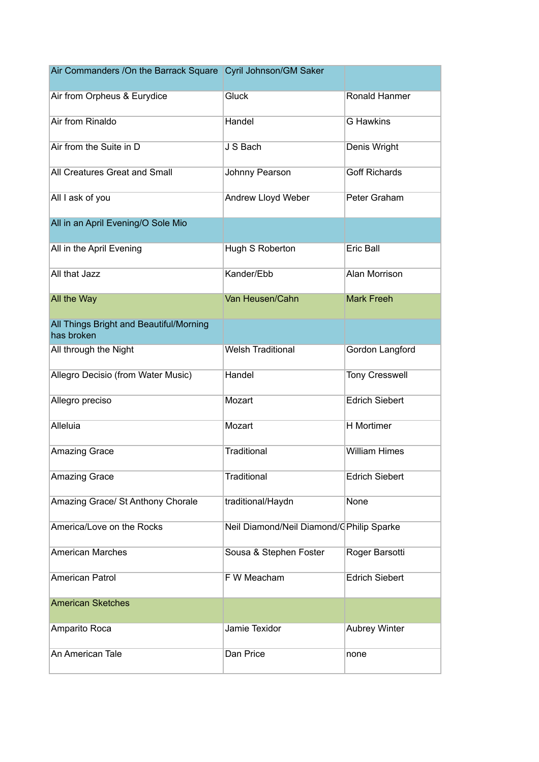| Air Commanders / On the Barrack Square Cyril Johnson/GM Saker |                                           |                       |
|---------------------------------------------------------------|-------------------------------------------|-----------------------|
| Air from Orpheus & Eurydice                                   | Gluck                                     | Ronald Hanmer         |
| Air from Rinaldo                                              | Handel                                    | <b>G</b> Hawkins      |
| Air from the Suite in D                                       | J S Bach                                  | Denis Wright          |
| All Creatures Great and Small                                 | Johnny Pearson                            | <b>Goff Richards</b>  |
| All I ask of you                                              | Andrew Lloyd Weber                        | Peter Graham          |
| All in an April Evening/O Sole Mio                            |                                           |                       |
| All in the April Evening                                      | Hugh S Roberton                           | Eric Ball             |
| All that Jazz                                                 | Kander/Ebb                                | Alan Morrison         |
| All the Way                                                   | Van Heusen/Cahn                           | <b>Mark Freeh</b>     |
| All Things Bright and Beautiful/Morning<br>has broken         |                                           |                       |
| All through the Night                                         | <b>Welsh Traditional</b>                  | Gordon Langford       |
| Allegro Decisio (from Water Music)                            | Handel                                    | <b>Tony Cresswell</b> |
| Allegro preciso                                               | Mozart                                    | <b>Edrich Siebert</b> |
| Alleluia                                                      | Mozart                                    | <b>H</b> Mortimer     |
| <b>Amazing Grace</b>                                          | Traditional                               | <b>William Himes</b>  |
| Amazing Grace                                                 | Traditional                               | <b>Edrich Siebert</b> |
| Amazing Grace/ St Anthony Chorale                             | traditional/Haydn                         | None                  |
| America/Love on the Rocks                                     | Neil Diamond/Neil Diamond/C Philip Sparke |                       |
| <b>American Marches</b>                                       | Sousa & Stephen Foster                    | Roger Barsotti        |
| <b>American Patrol</b>                                        | F W Meacham                               | <b>Edrich Siebert</b> |
| <b>American Sketches</b>                                      |                                           |                       |
| Amparito Roca                                                 | Jamie Texidor                             | <b>Aubrey Winter</b>  |
| An American Tale                                              | Dan Price                                 | none                  |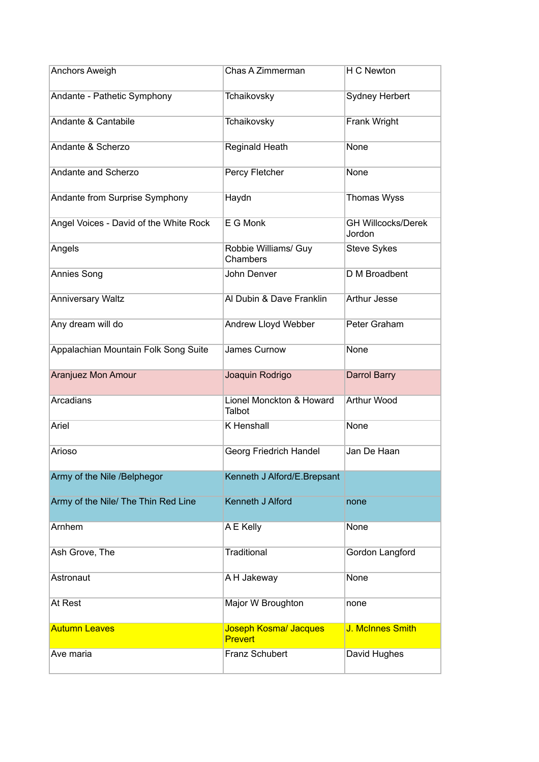| Anchors Aweigh                         | Chas A Zimmerman                        | H C Newton                          |
|----------------------------------------|-----------------------------------------|-------------------------------------|
| Andante - Pathetic Symphony            | Tchaikovsky                             | <b>Sydney Herbert</b>               |
| Andante & Cantabile                    | Tchaikovsky                             | Frank Wright                        |
| Andante & Scherzo                      | Reginald Heath                          | None                                |
| Andante and Scherzo                    | Percy Fletcher                          | None                                |
| Andante from Surprise Symphony         | Haydn                                   | Thomas Wyss                         |
| Angel Voices - David of the White Rock | E G Monk                                | <b>GH Willcocks/Derek</b><br>Jordon |
| Angels                                 | Robbie Williams/ Guy<br>Chambers        | Steve Sykes                         |
| Annies Song                            | John Denver                             | D M Broadbent                       |
| <b>Anniversary Waltz</b>               | Al Dubin & Dave Franklin                | Arthur Jesse                        |
| Any dream will do                      | Andrew Lloyd Webber                     | Peter Graham                        |
| Appalachian Mountain Folk Song Suite   | James Curnow                            | None                                |
| Aranjuez Mon Amour                     | Joaquin Rodrigo                         | Darrol Barry                        |
| Arcadians                              | Lionel Monckton & Howard<br>Talbot      | <b>Arthur Wood</b>                  |
| Ariel                                  | <b>K</b> Henshall                       | None                                |
| Arioso                                 | Georg Friedrich Handel                  | Jan De Haan                         |
| Army of the Nile /Belphegor            | Kenneth J Alford/E.Brepsant             |                                     |
| Army of the Nile/ The Thin Red Line    | Kenneth J Alford                        | none                                |
| Arnhem                                 | A E Kelly                               | None                                |
| Ash Grove, The                         | Traditional                             | Gordon Langford                     |
| Astronaut                              | A H Jakeway                             | None                                |
| At Rest                                | Major W Broughton                       | none                                |
| <b>Autumn Leaves</b>                   | Joseph Kosma/ Jacques<br><b>Prevert</b> | J. McInnes Smith                    |
| Ave maria                              | Franz Schubert                          | David Hughes                        |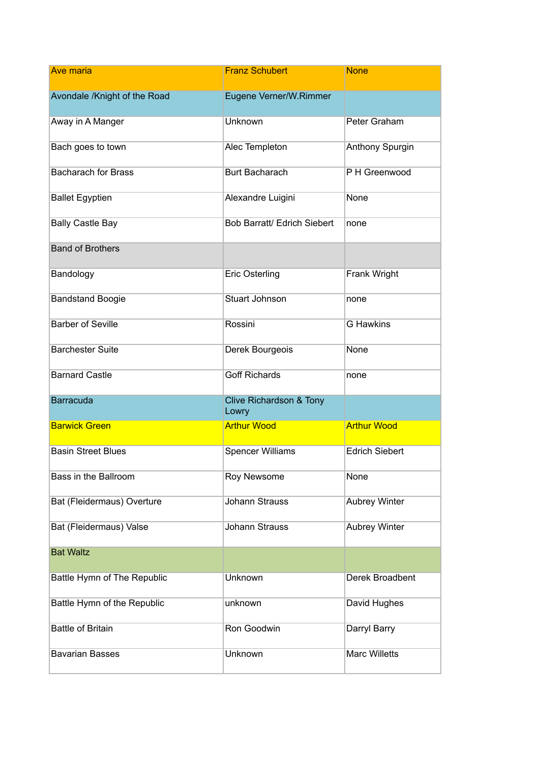| <b>Ave maria</b>             | <b>Franz Schubert</b>            | <b>None</b>           |
|------------------------------|----------------------------------|-----------------------|
| Avondale /Knight of the Road | Eugene Verner/W.Rimmer           |                       |
| Away in A Manger             | Unknown                          | Peter Graham          |
| Bach goes to town            | Alec Templeton                   | Anthony Spurgin       |
| <b>Bacharach for Brass</b>   | <b>Burt Bacharach</b>            | PH Greenwood          |
| <b>Ballet Egyptien</b>       | Alexandre Luigini                | None                  |
| <b>Bally Castle Bay</b>      | Bob Barratt/ Edrich Siebert      | none                  |
| <b>Band of Brothers</b>      |                                  |                       |
| Bandology                    | <b>Eric Osterling</b>            | Frank Wright          |
| <b>Bandstand Boogie</b>      | <b>Stuart Johnson</b>            | none                  |
| <b>Barber of Seville</b>     | Rossini                          | <b>G</b> Hawkins      |
| <b>Barchester Suite</b>      | Derek Bourgeois                  | None                  |
| <b>Barnard Castle</b>        | <b>Goff Richards</b>             | none                  |
| <b>Barracuda</b>             | Clive Richardson & Tony<br>Lowry |                       |
| <b>Barwick Green</b>         | <b>Arthur Wood</b>               | <b>Arthur Wood</b>    |
| <b>Basin Street Blues</b>    | <b>Spencer Williams</b>          | <b>Edrich Siebert</b> |
| Bass in the Ballroom         | Roy Newsome                      | None                  |
| Bat (Fleidermaus) Overture   | <b>Johann Strauss</b>            | <b>Aubrey Winter</b>  |
| Bat (Fleidermaus) Valse      | <b>Johann Strauss</b>            | <b>Aubrey Winter</b>  |
| <b>Bat Waltz</b>             |                                  |                       |
| Battle Hymn of The Republic  | Unknown                          | Derek Broadbent       |
| Battle Hymn of the Republic  | unknown                          | David Hughes          |
| <b>Battle of Britain</b>     | Ron Goodwin                      | Darryl Barry          |
| <b>Bavarian Basses</b>       | Unknown                          | <b>Marc Willetts</b>  |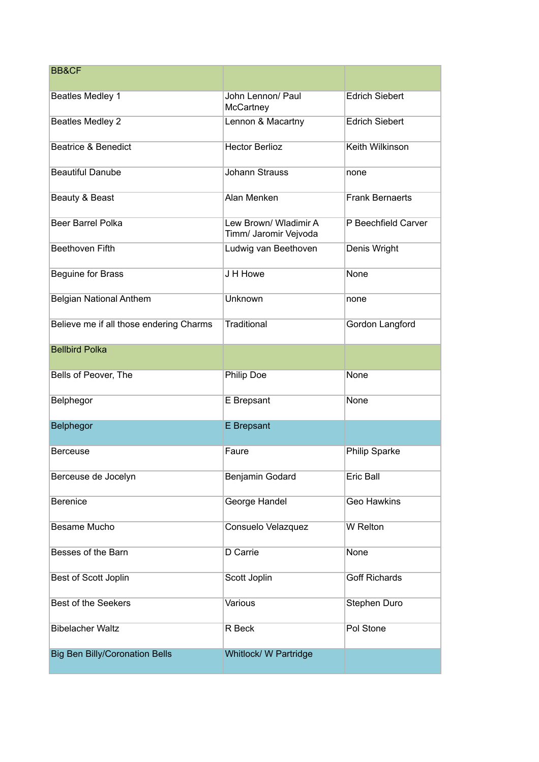| <b>BB&amp;CF</b>                        |                                                |                        |
|-----------------------------------------|------------------------------------------------|------------------------|
| Beatles Medley 1                        | John Lennon/ Paul<br>McCartney                 | <b>Edrich Siebert</b>  |
| <b>Beatles Medley 2</b>                 | Lennon & Macartny                              | <b>Edrich Siebert</b>  |
| <b>Beatrice &amp; Benedict</b>          | <b>Hector Berlioz</b>                          | Keith Wilkinson        |
| <b>Beautiful Danube</b>                 | <b>Johann Strauss</b>                          | none                   |
| Beauty & Beast                          | Alan Menken                                    | <b>Frank Bernaerts</b> |
| <b>Beer Barrel Polka</b>                | Lew Brown/ Wladimir A<br>Timm/ Jaromir Vejvoda | P Beechfield Carver    |
| <b>Beethoven Fifth</b>                  | Ludwig van Beethoven                           | Denis Wright           |
| Beguine for Brass                       | J H Howe                                       | None                   |
| <b>Belgian National Anthem</b>          | Unknown                                        | none                   |
| Believe me if all those endering Charms | Traditional                                    | Gordon Langford        |
| <b>Bellbird Polka</b>                   |                                                |                        |
| Bells of Peover, The                    | Philip Doe                                     | None                   |
| Belphegor                               | E Brepsant                                     | None                   |
| Belphegor                               | E Brepsant                                     |                        |
| <b>Berceuse</b>                         | Faure                                          | Philip Sparke          |
| Berceuse de Jocelyn                     | <b>Benjamin Godard</b>                         | Eric Ball              |
| <b>Berenice</b>                         | George Handel                                  | <b>Geo Hawkins</b>     |
| Besame Mucho                            | Consuelo Velazquez                             | <b>W</b> Relton        |
| Besses of the Barn                      | D Carrie                                       | None                   |
| Best of Scott Joplin                    | Scott Joplin                                   | <b>Goff Richards</b>   |
| <b>Best of the Seekers</b>              | Various                                        | Stephen Duro           |
| <b>Bibelacher Waltz</b>                 | R Beck                                         | Pol Stone              |
| <b>Big Ben Billy/Coronation Bells</b>   | Whitlock/ W Partridge                          |                        |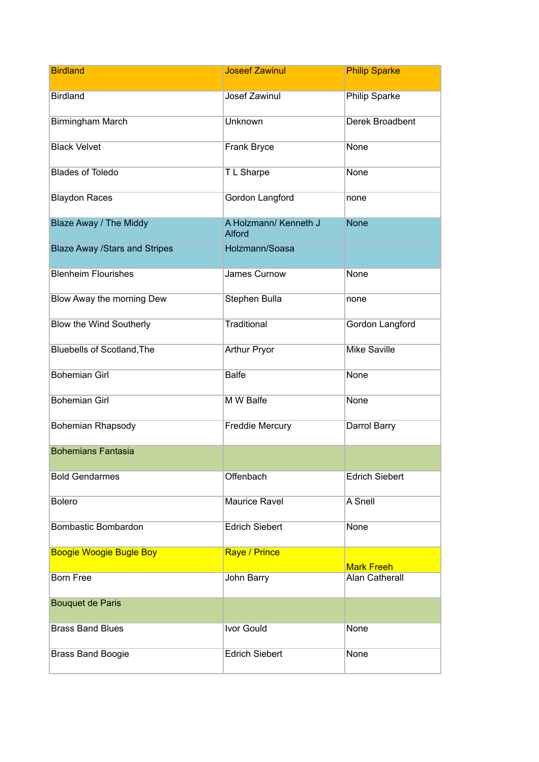| <b>Birdland</b>                      | <b>Joseef Zawinul</b>                  | <b>Philip Sparke</b>  |
|--------------------------------------|----------------------------------------|-----------------------|
| <b>Birdland</b>                      | Josef Zawinul                          | <b>Philip Sparke</b>  |
| <b>Birmingham March</b>              | Unknown                                | Derek Broadbent       |
| <b>Black Velvet</b>                  | Frank Bryce                            | None                  |
| <b>Blades of Toledo</b>              | T L Sharpe                             | None                  |
| <b>Blaydon Races</b>                 | Gordon Langford                        | none                  |
| Blaze Away / The Middy               | A Holzmann/ Kenneth J<br><b>Alford</b> | <b>None</b>           |
| <b>Blaze Away /Stars and Stripes</b> | Holzmann/Soasa                         |                       |
| <b>Blenheim Flourishes</b>           | James Curnow                           | None                  |
| Blow Away the morning Dew            | Stephen Bulla                          | none                  |
| Blow the Wind Southerly              | Traditional                            | Gordon Langford       |
| Bluebells of Scotland, The           | <b>Arthur Pryor</b>                    | <b>Mike Saville</b>   |
| <b>Bohemian Girl</b>                 | <b>Balfe</b>                           | None                  |
| <b>Bohemian Girl</b>                 | M W Balfe                              | None                  |
| Bohemian Rhapsody                    | <b>Freddie Mercury</b>                 | Darrol Barry          |
| <b>Bohemians Fantasia</b>            |                                        |                       |
| <b>Bold Gendarmes</b>                | Offenbach                              | <b>Edrich Siebert</b> |
| <b>Bolero</b>                        | <b>Maurice Ravel</b>                   | A Snell               |
| Bombastic Bombardon                  | <b>Edrich Siebert</b>                  | None                  |
| <b>Boogie Woogie Bugle Boy</b>       | Raye / Prince                          | <b>Mark Freeh</b>     |
| <b>Born Free</b>                     | John Barry                             | <b>Alan Catherall</b> |
| <b>Bouquet de Paris</b>              |                                        |                       |
| <b>Brass Band Blues</b>              | Ivor Gould                             | None                  |
| <b>Brass Band Boogie</b>             | <b>Edrich Siebert</b>                  | None                  |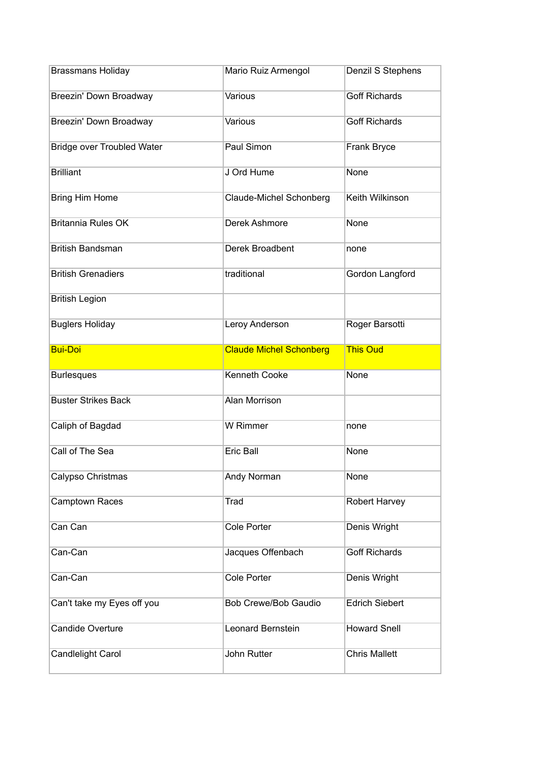| <b>Brassmans Holiday</b>          | Mario Ruiz Armengol            | Denzil S Stephens     |
|-----------------------------------|--------------------------------|-----------------------|
| Breezin' Down Broadway            | Various                        | <b>Goff Richards</b>  |
| Breezin' Down Broadway            | Various                        | <b>Goff Richards</b>  |
| <b>Bridge over Troubled Water</b> | Paul Simon                     | Frank Bryce           |
| <b>Brilliant</b>                  | J Ord Hume                     | None                  |
| <b>Bring Him Home</b>             | Claude-Michel Schonberg        | Keith Wilkinson       |
| <b>Britannia Rules OK</b>         | Derek Ashmore                  | None                  |
| <b>British Bandsman</b>           | Derek Broadbent                | none                  |
| <b>British Grenadiers</b>         | traditional                    | Gordon Langford       |
| <b>British Legion</b>             |                                |                       |
| <b>Buglers Holiday</b>            | Leroy Anderson                 | Roger Barsotti        |
| <b>Bui-Doi</b>                    | <b>Claude Michel Schonberg</b> | <b>This Oud</b>       |
|                                   |                                |                       |
| <b>Burlesques</b>                 | <b>Kenneth Cooke</b>           | None                  |
| <b>Buster Strikes Back</b>        | <b>Alan Morrison</b>           |                       |
| Caliph of Bagdad                  | <b>W</b> Rimmer                | none                  |
| Call of The Sea                   | <b>Eric Ball</b>               | None                  |
| Calypso Christmas                 | Andy Norman                    | None                  |
| <b>Camptown Races</b>             | Trad                           | <b>Robert Harvey</b>  |
| Can Can                           | <b>Cole Porter</b>             | Denis Wright          |
| Can-Can                           | Jacques Offenbach              | <b>Goff Richards</b>  |
| Can-Can                           | Cole Porter                    | Denis Wright          |
| Can't take my Eyes off you        | <b>Bob Crewe/Bob Gaudio</b>    | <b>Edrich Siebert</b> |
| <b>Candide Overture</b>           | Leonard Bernstein              | <b>Howard Snell</b>   |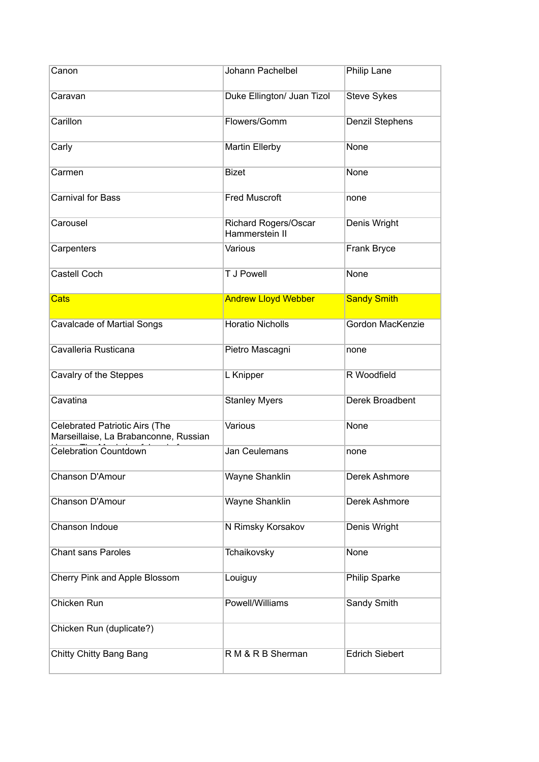| Canon                                                                          | Johann Pachelbel                       | Philip Lane           |
|--------------------------------------------------------------------------------|----------------------------------------|-----------------------|
| Caravan                                                                        | Duke Ellington/ Juan Tizol             | <b>Steve Sykes</b>    |
| Carillon                                                                       | Flowers/Gomm                           | Denzil Stephens       |
| Carly                                                                          | <b>Martin Ellerby</b>                  | None                  |
| Carmen                                                                         | <b>Bizet</b>                           | None                  |
| <b>Carnival for Bass</b>                                                       | <b>Fred Muscroft</b>                   | none                  |
| Carousel                                                                       | Richard Rogers/Oscar<br>Hammerstein II | Denis Wright          |
| Carpenters                                                                     | Various                                | <b>Frank Bryce</b>    |
| <b>Castell Coch</b>                                                            | <b>T J Powell</b>                      | None                  |
| <b>Cats</b>                                                                    | <b>Andrew Lloyd Webber</b>             | <b>Sandy Smith</b>    |
| <b>Cavalcade of Martial Songs</b>                                              | <b>Horatio Nicholls</b>                | Gordon MacKenzie      |
| Cavalleria Rusticana                                                           | Pietro Mascagni                        | none                  |
| Cavalry of the Steppes                                                         | L Knipper                              | R Woodfield           |
| Cavatina                                                                       | <b>Stanley Myers</b>                   | Derek Broadbent       |
| <b>Celebrated Patriotic Airs (The</b><br>Marseillaise, La Brabanconne, Russian | Various                                | None                  |
| <b>Celebration Countdown</b>                                                   | <b>Jan Ceulemans</b>                   | none                  |
| Chanson D'Amour                                                                | Wayne Shanklin                         | Derek Ashmore         |
| Chanson D'Amour                                                                | <b>Wayne Shanklin</b>                  | <b>Derek Ashmore</b>  |
| Chanson Indoue                                                                 | N Rimsky Korsakov                      | Denis Wright          |
| <b>Chant sans Paroles</b>                                                      | Tchaikovsky                            | None                  |
| Cherry Pink and Apple Blossom                                                  | Louiguy                                | <b>Philip Sparke</b>  |
| Chicken Run                                                                    | Powell/Williams                        | Sandy Smith           |
| Chicken Run (duplicate?)                                                       |                                        |                       |
| Chitty Chitty Bang Bang                                                        | R M & R B Sherman                      | <b>Edrich Siebert</b> |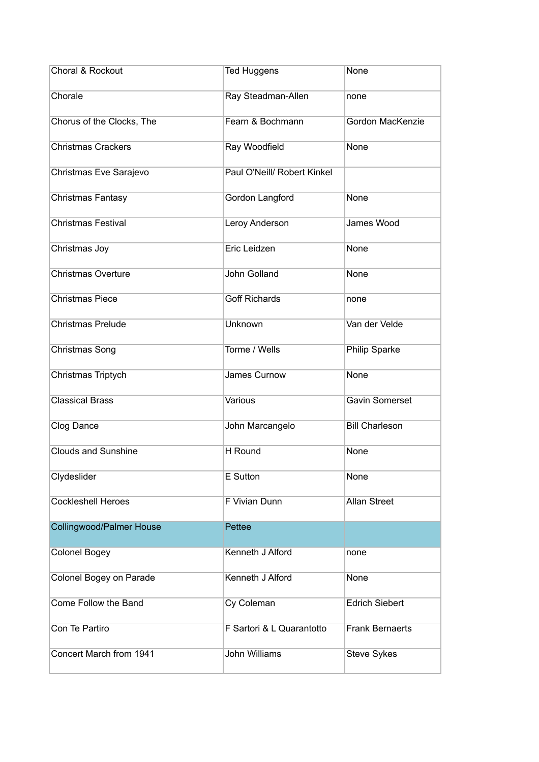| Choral & Rockout                | <b>Ted Huggens</b>          | None                   |
|---------------------------------|-----------------------------|------------------------|
| Chorale                         | Ray Steadman-Allen          | none                   |
| Chorus of the Clocks, The       | Fearn & Bochmann            | Gordon MacKenzie       |
| <b>Christmas Crackers</b>       | Ray Woodfield               | None                   |
| Christmas Eve Sarajevo          | Paul O'Neill/ Robert Kinkel |                        |
| Christmas Fantasy               | Gordon Langford             | None                   |
| <b>Christmas Festival</b>       | Leroy Anderson              | James Wood             |
| Christmas Joy                   | Eric Leidzen                | None                   |
| <b>Christmas Overture</b>       | <b>John Golland</b>         | None                   |
| <b>Christmas Piece</b>          | <b>Goff Richards</b>        | none                   |
| <b>Christmas Prelude</b>        | Unknown                     | Van der Velde          |
| Christmas Song                  | Torme / Wells               | Philip Sparke          |
| Christmas Triptych              | James Curnow                | None                   |
| <b>Classical Brass</b>          | Various                     | <b>Gavin Somerset</b>  |
| Clog Dance                      | John Marcangelo             | <b>Bill Charleson</b>  |
| <b>Clouds and Sunshine</b>      | H Round                     | None                   |
| Clydeslider                     | E Sutton                    | None                   |
| <b>Cockleshell Heroes</b>       | F Vivian Dunn               | <b>Allan Street</b>    |
| <b>Collingwood/Palmer House</b> | Pettee                      |                        |
| <b>Colonel Bogey</b>            | Kenneth J Alford            | none                   |
| Colonel Bogey on Parade         | Kenneth J Alford            | None                   |
| Come Follow the Band            | Cy Coleman                  | <b>Edrich Siebert</b>  |
| Con Te Partiro                  | F Sartori & L Quarantotto   | <b>Frank Bernaerts</b> |
| Concert March from 1941         | <b>John Williams</b>        | <b>Steve Sykes</b>     |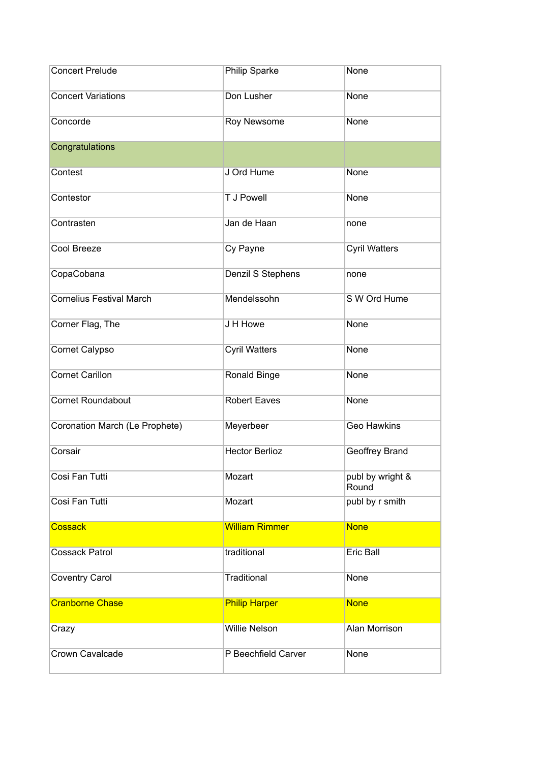| <b>Concert Prelude</b>          | Philip Sparke         | None                      |
|---------------------------------|-----------------------|---------------------------|
| <b>Concert Variations</b>       | Don Lusher            | None                      |
| Concorde                        | Roy Newsome           | None                      |
| Congratulations                 |                       |                           |
| Contest                         | J Ord Hume            | None                      |
| Contestor                       | <b>TJ Powell</b>      | None                      |
| Contrasten                      | Jan de Haan           | none                      |
| Cool Breeze                     | Cy Payne              | <b>Cyril Watters</b>      |
| CopaCobana                      | Denzil S Stephens     | none                      |
| <b>Cornelius Festival March</b> | Mendelssohn           | S W Ord Hume              |
| Corner Flag, The                | J H Howe              | None                      |
| Cornet Calypso                  | <b>Cyril Watters</b>  | None                      |
| <b>Cornet Carillon</b>          | Ronald Binge          | None                      |
| <b>Cornet Roundabout</b>        | <b>Robert Eaves</b>   | None                      |
| Coronation March (Le Prophete)  | Meyerbeer             | <b>Geo Hawkins</b>        |
| Corsair                         | <b>Hector Berlioz</b> | <b>Geoffrey Brand</b>     |
| Cosi Fan Tutti                  | Mozart                | publ by wright &<br>Round |
| Cosi Fan Tutti                  | Mozart                | publ by r smith           |
| <b>Cossack</b>                  | <b>William Rimmer</b> | <b>None</b>               |
| <b>Cossack Patrol</b>           | traditional           | Eric Ball                 |
| <b>Coventry Carol</b>           | Traditional           | None                      |
| <b>Cranborne Chase</b>          | <b>Philip Harper</b>  | <b>None</b>               |
| Crazy                           | <b>Willie Nelson</b>  | Alan Morrison             |
| Crown Cavalcade                 | P Beechfield Carver   | None                      |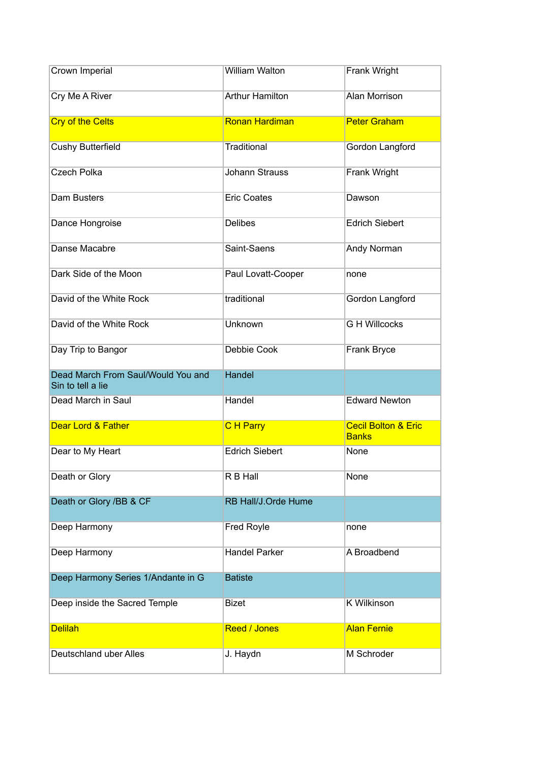| Crown Imperial                                          | <b>William Walton</b>  | Frank Wright                                   |
|---------------------------------------------------------|------------------------|------------------------------------------------|
| Cry Me A River                                          | <b>Arthur Hamilton</b> | Alan Morrison                                  |
| <b>Cry of the Celts</b>                                 | <b>Ronan Hardiman</b>  | <b>Peter Graham</b>                            |
| <b>Cushy Butterfield</b>                                | <b>Traditional</b>     | Gordon Langford                                |
| <b>Czech Polka</b>                                      | <b>Johann Strauss</b>  | Frank Wright                                   |
| Dam Busters                                             | <b>Eric Coates</b>     | Dawson                                         |
| Dance Hongroise                                         | <b>Delibes</b>         | <b>Edrich Siebert</b>                          |
| Danse Macabre                                           | Saint-Saens            | Andy Norman                                    |
| Dark Side of the Moon                                   | Paul Lovatt-Cooper     | none                                           |
| David of the White Rock                                 | traditional            | Gordon Langford                                |
| David of the White Rock                                 | <b>Unknown</b>         | <b>G H Willcocks</b>                           |
| Day Trip to Bangor                                      | Debbie Cook            | Frank Bryce                                    |
| Dead March From Saul/Would You and<br>Sin to tell a lie | Handel                 |                                                |
| Dead March in Saul                                      | Handel                 | <b>Edward Newton</b>                           |
| <b>Dear Lord &amp; Father</b>                           | C H Parry              | <b>Cecil Bolton &amp; Eric</b><br><b>Banks</b> |
| Dear to My Heart                                        | <b>Edrich Siebert</b>  | None                                           |
| Death or Glory                                          | R B Hall               | None                                           |
| Death or Glory /BB & CF                                 | RB Hall/J.Orde Hume    |                                                |
| Deep Harmony                                            | Fred Royle             | none                                           |
| Deep Harmony                                            | <b>Handel Parker</b>   | A Broadbend                                    |
| Deep Harmony Series 1/Andante in G                      | <b>Batiste</b>         |                                                |
| Deep inside the Sacred Temple                           | <b>Bizet</b>           | K Wilkinson                                    |
| <b>Delilah</b>                                          | Reed / Jones           | <b>Alan Fernie</b>                             |
| Deutschland uber Alles                                  | J. Haydn               | M Schroder                                     |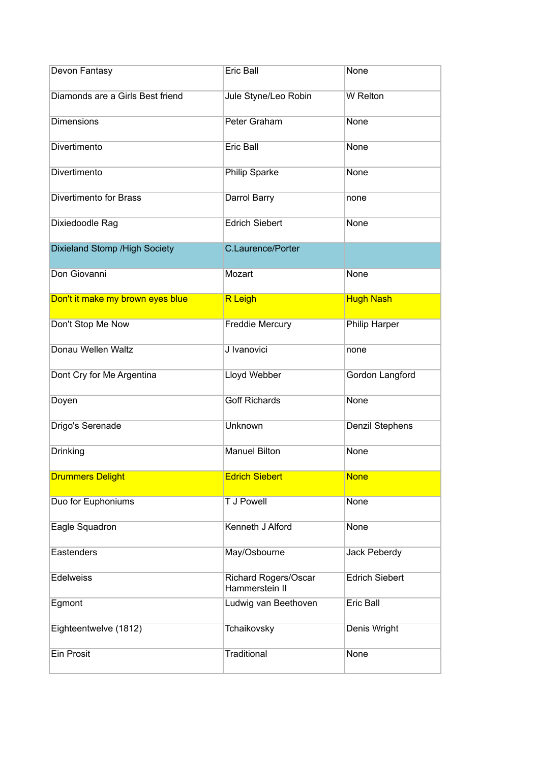| Devon Fantasy                    | Eric Ball                                     | None                  |
|----------------------------------|-----------------------------------------------|-----------------------|
| Diamonds are a Girls Best friend | Jule Styne/Leo Robin                          | W Relton              |
| <b>Dimensions</b>                | Peter Graham                                  | None                  |
| Divertimento                     | Eric Ball                                     | None                  |
| Divertimento                     | Philip Sparke                                 | None                  |
| <b>Divertimento for Brass</b>    | Darrol Barry                                  | none                  |
| Dixiedoodle Rag                  | <b>Edrich Siebert</b>                         | None                  |
| Dixieland Stomp / High Society   | <b>C.Laurence/Porter</b>                      |                       |
| Don Giovanni                     | Mozart                                        | None                  |
| Don't it make my brown eyes blue | <b>R</b> Leigh                                | <b>Hugh Nash</b>      |
| Don't Stop Me Now                | Freddie Mercury                               | Philip Harper         |
| Donau Wellen Waltz               | J Ivanovici                                   | none                  |
| Dont Cry for Me Argentina        | Lloyd Webber                                  | Gordon Langford       |
| Doyen                            | <b>Goff Richards</b>                          | None                  |
| Drigo's Serenade                 | <b>Unknown</b>                                | Denzil Stephens       |
| Drinking                         | <b>Manuel Bilton</b>                          | None                  |
| <b>Drummers Delight</b>          | <b>Edrich Siebert</b>                         | <b>None</b>           |
| Duo for Euphoniums               | <b>T J Powell</b>                             | None                  |
| Eagle Squadron                   | Kenneth J Alford                              | None                  |
| Eastenders                       | May/Osbourne                                  | Jack Peberdy          |
| <b>Edelweiss</b>                 | <b>Richard Rogers/Oscar</b><br>Hammerstein II | <b>Edrich Siebert</b> |
| Egmont                           | Ludwig van Beethoven                          | <b>Eric Ball</b>      |
| Eighteentwelve (1812)            | Tchaikovsky                                   | Denis Wright          |
| <b>Ein Prosit</b>                | Traditional                                   | None                  |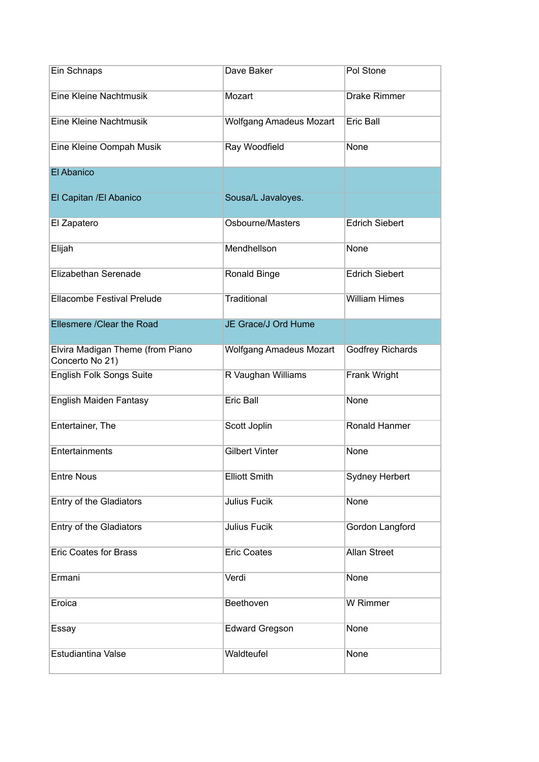| Ein Schnaps                                         | Dave Baker                     | Pol Stone               |
|-----------------------------------------------------|--------------------------------|-------------------------|
| Eine Kleine Nachtmusik                              | Mozart                         | <b>Drake Rimmer</b>     |
| Eine Kleine Nachtmusik                              | <b>Wolfgang Amadeus Mozart</b> | Eric Ball               |
| Eine Kleine Oompah Musik                            | Ray Woodfield                  | None                    |
| El Abanico                                          |                                |                         |
| El Capitan / El Abanico                             | Sousa/L Javaloyes.             |                         |
| El Zapatero                                         | Osbourne/Masters               | <b>Edrich Siebert</b>   |
| Elijah                                              | Mendhellson                    | None                    |
| Elizabethan Serenade                                | Ronald Binge                   | <b>Edrich Siebert</b>   |
| Ellacombe Festival Prelude                          | Traditional                    | <b>William Himes</b>    |
| Ellesmere / Clear the Road                          | JE Grace/J Ord Hume            |                         |
| Elvira Madigan Theme (from Piano<br>Concerto No 21) | <b>Wolfgang Amadeus Mozart</b> | <b>Godfrey Richards</b> |
| <b>English Folk Songs Suite</b>                     | R Vaughan Williams             | Frank Wright            |
| English Maiden Fantasy                              | Eric Ball                      | None                    |
| Entertainer, The                                    | Scott Joplin                   | Ronald Hanmer           |
| Entertainments                                      | <b>Gilbert Vinter</b>          | None                    |
| <b>Entre Nous</b>                                   | <b>Elliott Smith</b>           | Sydney Herbert          |
| Entry of the Gladiators                             | Julius Fucik                   | None                    |
| Entry of the Gladiators                             | <b>Julius Fucik</b>            | Gordon Langford         |
| <b>Eric Coates for Brass</b>                        | <b>Eric Coates</b>             | <b>Allan Street</b>     |
| Ermani                                              | Verdi                          | None                    |
| Eroica                                              | Beethoven                      | W Rimmer                |
| Essay                                               | <b>Edward Gregson</b>          | None                    |
| Estudiantina Valse                                  | Waldteufel                     | None                    |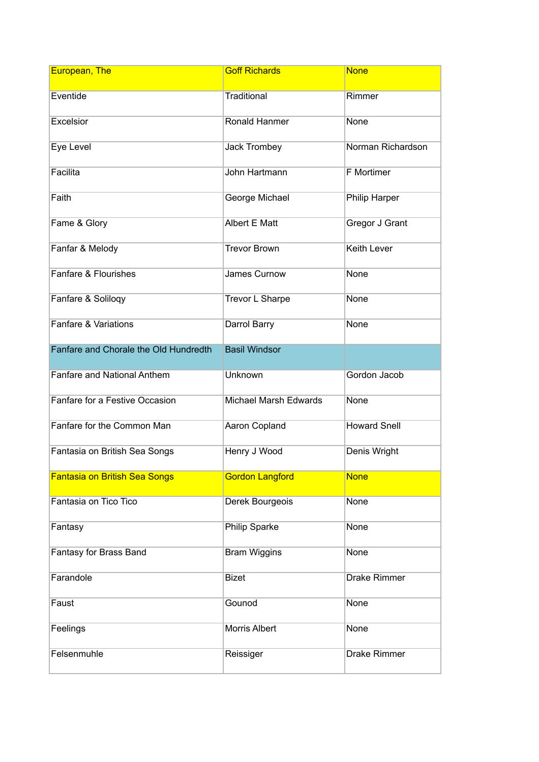| European, The                         | <b>Goff Richards</b>         | <b>None</b>         |
|---------------------------------------|------------------------------|---------------------|
| Eventide                              | Traditional                  | Rimmer              |
| Excelsior                             | Ronald Hanmer                | None                |
| Eye Level                             | <b>Jack Trombey</b>          | Norman Richardson   |
| Facilita                              | John Hartmann                | F Mortimer          |
| Faith                                 | George Michael               | Philip Harper       |
| Fame & Glory                          | Albert E Matt                | Gregor J Grant      |
| Fanfar & Melody                       | <b>Trevor Brown</b>          | <b>Keith Lever</b>  |
| Fanfare & Flourishes                  | James Curnow                 | None                |
| Fanfare & Soliloqy                    | Trevor L Sharpe              | None                |
| Fanfare & Variations                  | Darrol Barry                 | None                |
| Fanfare and Chorale the Old Hundredth | <b>Basil Windsor</b>         |                     |
| <b>Fanfare and National Anthem</b>    | Unknown                      | Gordon Jacob        |
| Fanfare for a Festive Occasion        | <b>Michael Marsh Edwards</b> | None                |
| Fanfare for the Common Man            | Aaron Copland                | <b>Howard Snell</b> |
| Fantasia on British Sea Songs         | Henry J Wood                 | Denis Wright        |
| <b>Fantasia on British Sea Songs</b>  | <b>Gordon Langford</b>       | <b>None</b>         |
| Fantasia on Tico Tico                 | Derek Bourgeois              | None                |
| Fantasy                               | Philip Sparke                | None                |
| Fantasy for Brass Band                | <b>Bram Wiggins</b>          | None                |
| Farandole                             | <b>Bizet</b>                 | <b>Drake Rimmer</b> |
| Faust                                 | Gounod                       | None                |
| Feelings                              | Morris Albert                | None                |
| Felsenmuhle                           | Reissiger                    | <b>Drake Rimmer</b> |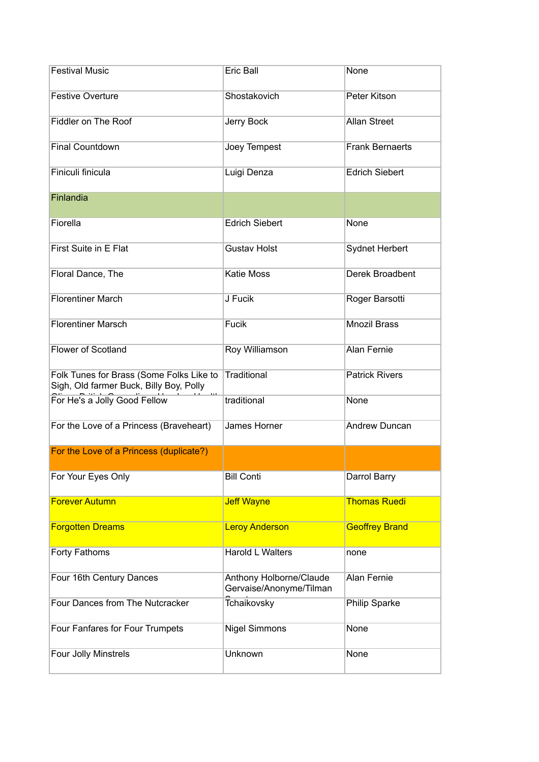| <b>Festival Music</b>                                                               | Eric Ball                                          | None                   |
|-------------------------------------------------------------------------------------|----------------------------------------------------|------------------------|
| <b>Festive Overture</b>                                                             | Shostakovich                                       | Peter Kitson           |
| Fiddler on The Roof                                                                 | Jerry Bock                                         | <b>Allan Street</b>    |
| <b>Final Countdown</b>                                                              | Joey Tempest                                       | <b>Frank Bernaerts</b> |
| Finiculi finicula                                                                   | Luigi Denza                                        | <b>Edrich Siebert</b>  |
| Finlandia                                                                           |                                                    |                        |
| Fiorella                                                                            | <b>Edrich Siebert</b>                              | None                   |
| First Suite in E Flat                                                               | <b>Gustav Holst</b>                                | <b>Sydnet Herbert</b>  |
| Floral Dance, The                                                                   | <b>Katie Moss</b>                                  | Derek Broadbent        |
| <b>Florentiner March</b>                                                            | J Fucik                                            | Roger Barsotti         |
| <b>Florentiner Marsch</b>                                                           | Fucik                                              | <b>Mnozil Brass</b>    |
| <b>Flower of Scotland</b>                                                           | Roy Williamson                                     | <b>Alan Fernie</b>     |
| Folk Tunes for Brass (Some Folks Like to<br>Sigh, Old farmer Buck, Billy Boy, Polly | <b>Traditional</b>                                 | <b>Patrick Rivers</b>  |
| For He's a Jolly Good Fellow                                                        | traditional                                        | None                   |
| For the Love of a Princess (Braveheart)                                             | James Horner                                       | <b>Andrew Duncan</b>   |
| For the Love of a Princess (duplicate?)                                             |                                                    |                        |
| For Your Eyes Only                                                                  | <b>Bill Conti</b>                                  | Darrol Barry           |
| <b>Forever Autumn</b>                                                               | <b>Jeff Wayne</b>                                  | <b>Thomas Ruedi</b>    |
| <b>Forgotten Dreams</b>                                                             | <b>Leroy Anderson</b>                              | <b>Geoffrey Brand</b>  |
| Forty Fathoms                                                                       | <b>Harold L Walters</b>                            | none                   |
| Four 16th Century Dances                                                            | Anthony Holborne/Claude<br>Gervaise/Anonyme/Tilman | <b>Alan Fernie</b>     |
| Four Dances from The Nutcracker                                                     | Tchaikovsky                                        | Philip Sparke          |
| Four Fanfares for Four Trumpets                                                     | <b>Nigel Simmons</b>                               | None                   |
| Four Jolly Minstrels                                                                | Unknown                                            | None                   |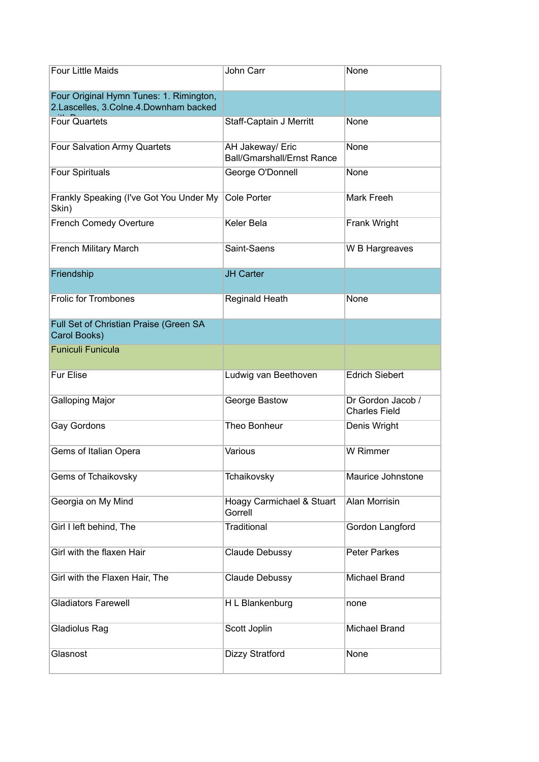| <b>Four Little Maids</b>                                                         | John Carr                                             | None                                      |
|----------------------------------------------------------------------------------|-------------------------------------------------------|-------------------------------------------|
| Four Original Hymn Tunes: 1. Rimington,<br>2.Lascelles, 3.Colne.4.Downham backed |                                                       |                                           |
| <b>Four Quartets</b>                                                             | Staff-Captain J Merritt                               | None                                      |
| <b>Four Salvation Army Quartets</b>                                              | AH Jakeway/ Eric<br><b>Ball/Gmarshall/Ernst Rance</b> | None                                      |
| <b>Four Spirituals</b>                                                           | George O'Donnell                                      | None                                      |
| Frankly Speaking (I've Got You Under My<br>Skin)                                 | <b>Cole Porter</b>                                    | Mark Freeh                                |
| <b>French Comedy Overture</b>                                                    | Keler Bela                                            | Frank Wright                              |
| <b>French Military March</b>                                                     | Saint-Saens                                           | W B Hargreaves                            |
| Friendship                                                                       | <b>JH Carter</b>                                      |                                           |
| <b>Frolic for Trombones</b>                                                      | <b>Reginald Heath</b>                                 | None                                      |
| Full Set of Christian Praise (Green SA<br>Carol Books)                           |                                                       |                                           |
| <b>Funiculi Funicula</b>                                                         |                                                       |                                           |
| Fur Elise                                                                        | Ludwig van Beethoven                                  | <b>Edrich Siebert</b>                     |
| <b>Galloping Major</b>                                                           | George Bastow                                         | Dr Gordon Jacob /<br><b>Charles Field</b> |
| Gay Gordons                                                                      | Theo Bonheur                                          | Denis Wright                              |
| Gems of Italian Opera                                                            | Various                                               | W Rimmer                                  |
| Gems of Tchaikovsky                                                              | Tchaikovsky                                           | Maurice Johnstone                         |
| Georgia on My Mind                                                               | Hoagy Carmichael & Stuart<br>Gorrell                  | <b>Alan Morrisin</b>                      |
| Girl I left behind, The                                                          | Traditional                                           | Gordon Langford                           |
| Girl with the flaxen Hair                                                        | Claude Debussy                                        | <b>Peter Parkes</b>                       |
| Girl with the Flaxen Hair, The                                                   | Claude Debussy                                        | <b>Michael Brand</b>                      |
| <b>Gladiators Farewell</b>                                                       | H L Blankenburg                                       | none                                      |
| Gladiolus Rag                                                                    | Scott Joplin                                          | Michael Brand                             |
| Glasnost                                                                         | Dizzy Stratford                                       | None                                      |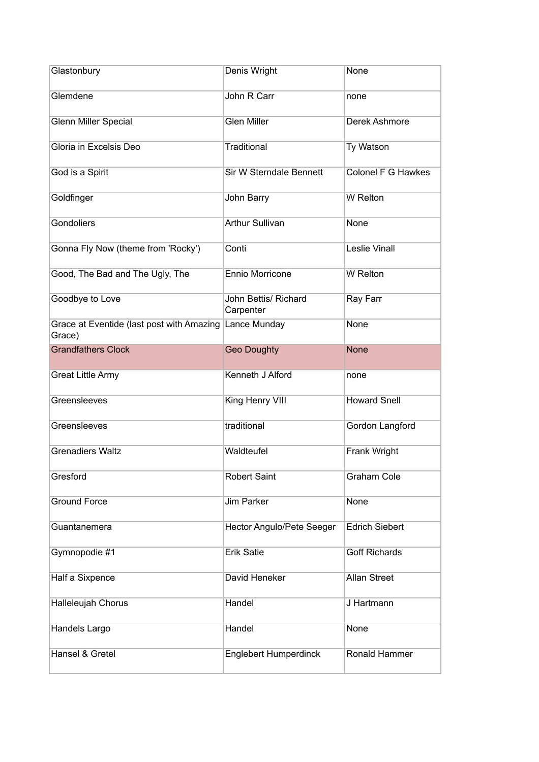| Glastonbury                                         | Denis Wright                      | None                  |
|-----------------------------------------------------|-----------------------------------|-----------------------|
| Glemdene                                            | John R Carr                       | none                  |
| <b>Glenn Miller Special</b>                         | <b>Glen Miller</b>                | Derek Ashmore         |
| Gloria in Excelsis Deo                              | <b>Traditional</b>                | Ty Watson             |
| God is a Spirit                                     | Sir W Sterndale Bennett           | Colonel F G Hawkes    |
| Goldfinger                                          | John Barry                        | <b>W</b> Relton       |
| Gondoliers                                          | <b>Arthur Sullivan</b>            | None                  |
| Gonna Fly Now (theme from 'Rocky')                  | Conti                             | <b>Leslie Vinall</b>  |
| Good, The Bad and The Ugly, The                     | Ennio Morricone                   | <b>W</b> Relton       |
| Goodbye to Love                                     | John Bettis/ Richard<br>Carpenter | Ray Farr              |
| Grace at Eventide (last post with Amazing<br>Grace) | Lance Munday                      | <b>None</b>           |
| <b>Grandfathers Clock</b>                           | <b>Geo Doughty</b>                | <b>None</b>           |
| <b>Great Little Army</b>                            | Kenneth J Alford                  | none                  |
| Greensleeves                                        | King Henry VIII                   | <b>Howard Snell</b>   |
| Greensleeves                                        | traditional                       | Gordon Langford       |
| <b>Grenadiers Waltz</b>                             | Waldteufel                        | Frank Wright          |
| Gresford                                            | <b>Robert Saint</b>               | <b>Graham Cole</b>    |
| <b>Ground Force</b>                                 | <b>Jim Parker</b>                 | None                  |
| Guantanemera                                        | <b>Hector Angulo/Pete Seeger</b>  | <b>Edrich Siebert</b> |
| Gymnopodie #1                                       | <b>Erik Satie</b>                 | <b>Goff Richards</b>  |
| Half a Sixpence                                     | David Heneker                     | <b>Allan Street</b>   |
| Halleleujah Chorus                                  | Handel                            | J Hartmann            |
| Handels Largo                                       | Handel                            | None                  |
| Hansel & Gretel                                     | <b>Englebert Humperdinck</b>      | Ronald Hammer         |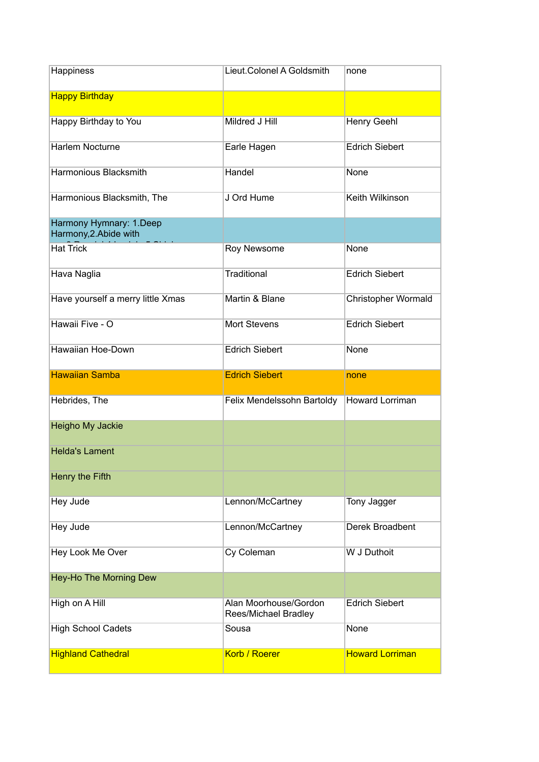| Happiness                                         | Lieut.Colonel A Goldsmith                     | none                   |
|---------------------------------------------------|-----------------------------------------------|------------------------|
| <b>Happy Birthday</b>                             |                                               |                        |
| Happy Birthday to You                             | Mildred J Hill                                | <b>Henry Geehl</b>     |
| Harlem Nocturne                                   | Earle Hagen                                   | <b>Edrich Siebert</b>  |
| <b>Harmonious Blacksmith</b>                      | Handel                                        | None                   |
| Harmonious Blacksmith, The                        | J Ord Hume                                    | Keith Wilkinson        |
| Harmony Hymnary: 1.Deep<br>Harmony, 2. Abide with |                                               |                        |
| <b>Hat Trick</b>                                  | Roy Newsome                                   | None                   |
| Hava Naglia                                       | <b>Traditional</b>                            | <b>Edrich Siebert</b>  |
| Have yourself a merry little Xmas                 | Martin & Blane                                | Christopher Wormald    |
| Hawaii Five - O                                   | <b>Mort Stevens</b>                           | <b>Edrich Siebert</b>  |
| Hawaiian Hoe-Down                                 | <b>Edrich Siebert</b>                         | None                   |
|                                                   |                                               |                        |
| <b>Hawaiian Samba</b>                             | <b>Edrich Siebert</b>                         | none                   |
| Hebrides, The                                     | Felix Mendelssohn Bartoldy                    | <b>Howard Lorriman</b> |
| Heigho My Jackie                                  |                                               |                        |
| <b>Helda's Lament</b>                             |                                               |                        |
| Henry the Fifth                                   |                                               |                        |
| Hey Jude                                          | Lennon/McCartney                              | Tony Jagger            |
| Hey Jude                                          | Lennon/McCartney                              | Derek Broadbent        |
| Hey Look Me Over                                  | Cy Coleman                                    | W J Duthoit            |
| Hey-Ho The Morning Dew                            |                                               |                        |
| High on A Hill                                    | Alan Moorhouse/Gordon<br>Rees/Michael Bradley | <b>Edrich Siebert</b>  |
| <b>High School Cadets</b>                         | Sousa                                         | None                   |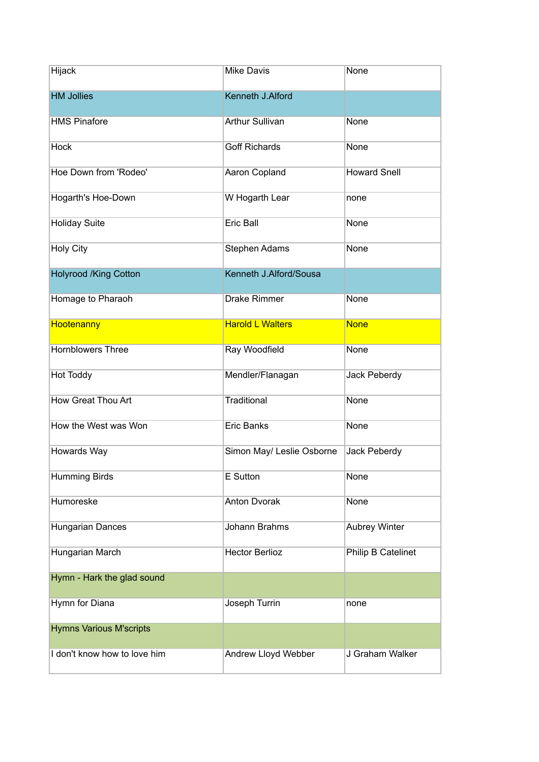| Hijack                         | <b>Mike Davis</b>         | None                 |
|--------------------------------|---------------------------|----------------------|
| <b>HM Jollies</b>              | Kenneth J.Alford          |                      |
| <b>HMS Pinafore</b>            | <b>Arthur Sullivan</b>    | None                 |
| <b>Hock</b>                    | <b>Goff Richards</b>      | None                 |
| Hoe Down from 'Rodeo'          | Aaron Copland             | <b>Howard Snell</b>  |
| Hogarth's Hoe-Down             | W Hogarth Lear            | none                 |
| <b>Holiday Suite</b>           | Eric Ball                 | None                 |
| <b>Holy City</b>               | Stephen Adams             | None                 |
| <b>Holyrood /King Cotton</b>   | Kenneth J.Alford/Sousa    |                      |
| Homage to Pharaoh              | Drake Rimmer              | None                 |
| Hootenanny                     | <b>Harold L Walters</b>   | <b>None</b>          |
| <b>Hornblowers Three</b>       | Ray Woodfield             | None                 |
| <b>Hot Toddy</b>               | Mendler/Flanagan          | Jack Peberdy         |
| How Great Thou Art             | Traditional               | None                 |
| How the West was Won           | <b>Eric Banks</b>         | None                 |
| Howards Way                    | Simon May/ Leslie Osborne | Jack Peberdy         |
| <b>Humming Birds</b>           | E Sutton                  | None                 |
| Humoreske                      | <b>Anton Dvorak</b>       | None                 |
| Hungarian Dances               | Johann Brahms             | <b>Aubrey Winter</b> |
| Hungarian March                | <b>Hector Berlioz</b>     | Philip B Catelinet   |
| Hymn - Hark the glad sound     |                           |                      |
| Hymn for Diana                 | Joseph Turrin             | none                 |
| <b>Hymns Various M'scripts</b> |                           |                      |
| I don't know how to love him   | Andrew Lloyd Webber       | J Graham Walker      |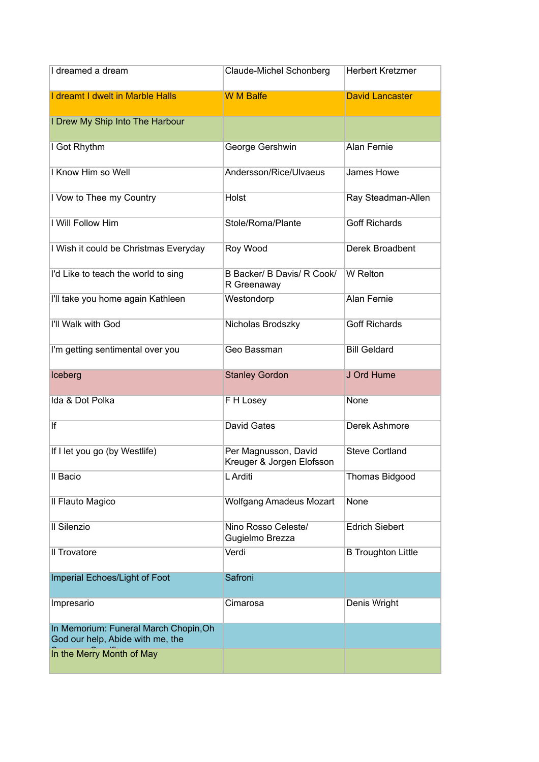| I dreamed a dream                                                         | Claude-Michel Schonberg                           | <b>Herbert Kretzmer</b>   |
|---------------------------------------------------------------------------|---------------------------------------------------|---------------------------|
| I dreamt I dwelt in Marble Halls                                          | <b>W M Balfe</b>                                  | <b>David Lancaster</b>    |
| I Drew My Ship Into The Harbour                                           |                                                   |                           |
| I Got Rhythm                                                              | George Gershwin                                   | Alan Fernie               |
| I Know Him so Well                                                        | Andersson/Rice/Ulvaeus                            | James Howe                |
| I Vow to Thee my Country                                                  | Holst                                             | Ray Steadman-Allen        |
| I Will Follow Him                                                         | Stole/Roma/Plante                                 | <b>Goff Richards</b>      |
| I Wish it could be Christmas Everyday                                     | Roy Wood                                          | Derek Broadbent           |
| I'd Like to teach the world to sing                                       | B Backer/ B Davis/ R Cook/<br>R Greenaway         | W Relton                  |
| I'll take you home again Kathleen                                         | Westondorp                                        | <b>Alan Fernie</b>        |
| I'll Walk with God                                                        | Nicholas Brodszky                                 | <b>Goff Richards</b>      |
| I'm getting sentimental over you                                          | Geo Bassman                                       | <b>Bill Geldard</b>       |
| Iceberg                                                                   | <b>Stanley Gordon</b>                             | J Ord Hume                |
| Ida & Dot Polka                                                           | F H Losey                                         | None                      |
| lf                                                                        | <b>David Gates</b>                                | Derek Ashmore             |
| If I let you go (by Westlife)                                             | Per Magnusson, David<br>Kreuger & Jorgen Elofsson | <b>Steve Cortland</b>     |
| Il Bacio                                                                  | L Arditi                                          | <b>Thomas Bidgood</b>     |
| Il Flauto Magico                                                          | <b>Wolfgang Amadeus Mozart</b>                    | None                      |
| Il Silenzio                                                               | Nino Rosso Celeste/<br>Gugielmo Brezza            | <b>Edrich Siebert</b>     |
| Il Trovatore                                                              | Verdi                                             | <b>B Troughton Little</b> |
| Imperial Echoes/Light of Foot                                             | Safroni                                           |                           |
| Impresario                                                                | Cimarosa                                          | Denis Wright              |
| In Memorium: Funeral March Chopin, Oh<br>God our help, Abide with me, the |                                                   |                           |
| In the Merry Month of May                                                 |                                                   |                           |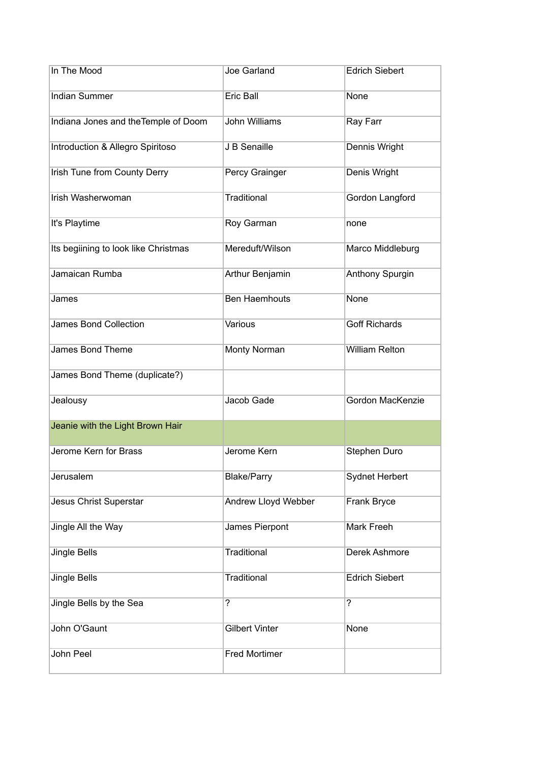| In The Mood                          | Joe Garland           | <b>Edrich Siebert</b> |
|--------------------------------------|-----------------------|-----------------------|
| <b>Indian Summer</b>                 | Eric Ball             | <b>None</b>           |
| Indiana Jones and the Temple of Doom | John Williams         | Ray Farr              |
| Introduction & Allegro Spiritoso     | J B Senaille          | Dennis Wright         |
| <b>Irish Tune from County Derry</b>  | Percy Grainger        | Denis Wright          |
| <b>Irish Washerwoman</b>             | Traditional           | Gordon Langford       |
| It's Playtime                        | Roy Garman            | none                  |
| Its begiining to look like Christmas | Mereduft/Wilson       | Marco Middleburg      |
| Jamaican Rumba                       | Arthur Benjamin       | Anthony Spurgin       |
| James                                | <b>Ben Haemhouts</b>  | None                  |
| <b>James Bond Collection</b>         | Various               | <b>Goff Richards</b>  |
| James Bond Theme                     | Monty Norman          | <b>William Relton</b> |
| James Bond Theme (duplicate?)        |                       |                       |
| Jealousy                             | Jacob Gade            | Gordon MacKenzie      |
| Jeanie with the Light Brown Hair     |                       |                       |
| Jerome Kern for Brass                | Jerome Kern           | Stephen Duro          |
| Jerusalem                            | <b>Blake/Parry</b>    | Sydnet Herbert        |
| Jesus Christ Superstar               | Andrew Lloyd Webber   | Frank Bryce           |
| Jingle All the Way                   | James Pierpont        | Mark Freeh            |
| Jingle Bells                         | Traditional           | Derek Ashmore         |
| <b>Jingle Bells</b>                  | Traditional           | <b>Edrich Siebert</b> |
| Jingle Bells by the Sea              | $\overline{?}$        | $\overline{?}$        |
| John O'Gaunt                         | <b>Gilbert Vinter</b> | None                  |
| John Peel                            | <b>Fred Mortimer</b>  |                       |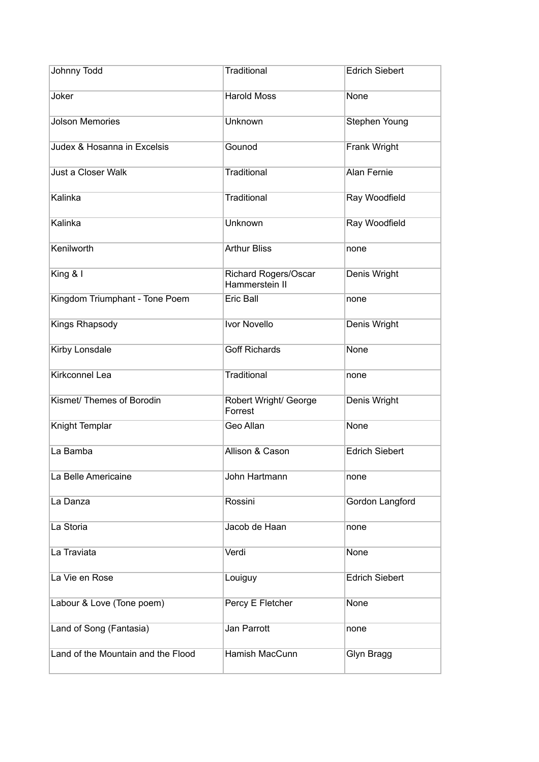| Johnny Todd                        | Traditional                                   | <b>Edrich Siebert</b> |
|------------------------------------|-----------------------------------------------|-----------------------|
| Joker                              | <b>Harold Moss</b>                            | None                  |
| <b>Jolson Memories</b>             | Unknown                                       | Stephen Young         |
| Judex & Hosanna in Excelsis        | Gounod                                        | Frank Wright          |
| Just a Closer Walk                 | Traditional                                   | <b>Alan Fernie</b>    |
| Kalinka                            | Traditional                                   | Ray Woodfield         |
| Kalinka                            | Unknown                                       | Ray Woodfield         |
| Kenilworth                         | <b>Arthur Bliss</b>                           | none                  |
| King & I                           | <b>Richard Rogers/Oscar</b><br>Hammerstein II | Denis Wright          |
| Kingdom Triumphant - Tone Poem     | Eric Ball                                     | none                  |
| Kings Rhapsody                     | <b>Ivor Novello</b>                           | Denis Wright          |
| Kirby Lonsdale                     | <b>Goff Richards</b>                          | None                  |
| Kirkconnel Lea                     | Traditional                                   | none                  |
| Kismet/ Themes of Borodin          | Robert Wright/ George<br>Forrest              | Denis Wright          |
| Knight Templar                     | Geo Allan                                     | None                  |
| La Bamba                           | Allison & Cason                               | <b>Edrich Siebert</b> |
| La Belle Americaine                | John Hartmann                                 | none                  |
| La Danza                           | Rossini                                       | Gordon Langford       |
| La Storia                          | Jacob de Haan                                 | none                  |
| La Traviata                        | Verdi                                         | None                  |
| La Vie en Rose                     | Louiguy                                       | <b>Edrich Siebert</b> |
| Labour & Love (Tone poem)          | Percy E Fletcher                              | None                  |
| Land of Song (Fantasia)            | Jan Parrott                                   | none                  |
| Land of the Mountain and the Flood | Hamish MacCunn                                | Glyn Bragg            |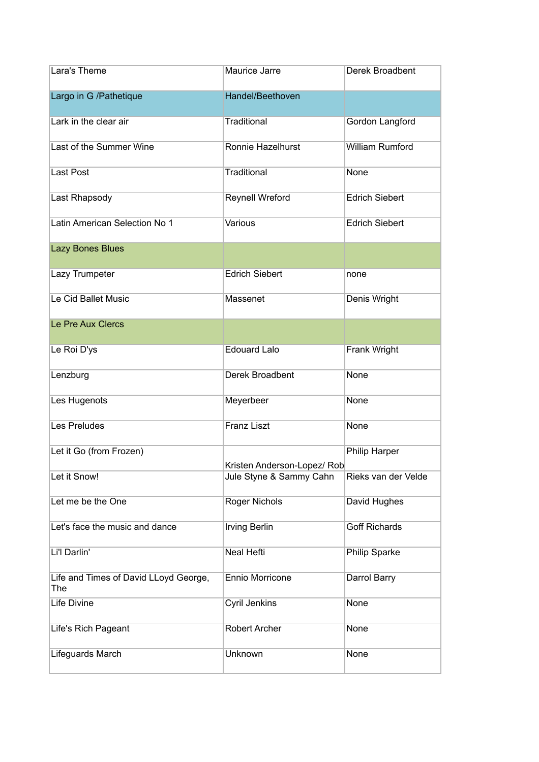| Lara's Theme                                 | Maurice Jarre               | Derek Broadbent        |
|----------------------------------------------|-----------------------------|------------------------|
| Largo in G /Pathetique                       | Handel/Beethoven            |                        |
| Lark in the clear air                        | Traditional                 | Gordon Langford        |
| Last of the Summer Wine                      | Ronnie Hazelhurst           | <b>William Rumford</b> |
| <b>Last Post</b>                             | Traditional                 | None                   |
| Last Rhapsody                                | Reynell Wreford             | <b>Edrich Siebert</b>  |
| Latin American Selection No 1                | Various                     | <b>Edrich Siebert</b>  |
| Lazy Bones Blues                             |                             |                        |
| Lazy Trumpeter                               | <b>Edrich Siebert</b>       | none                   |
| Le Cid Ballet Music                          | Massenet                    | Denis Wright           |
| Le Pre Aux Clercs                            |                             |                        |
| Le Roi D'ys                                  | <b>Edouard Lalo</b>         | Frank Wright           |
| Lenzburg                                     | Derek Broadbent             | None                   |
| Les Hugenots                                 | Meyerbeer                   | None                   |
| <b>Les Preludes</b>                          | <b>Franz Liszt</b>          | None                   |
| Let it Go (from Frozen)                      | Kristen Anderson-Lopez/ Rob | Philip Harper          |
| Let it Snow!                                 | Jule Styne & Sammy Cahn     | Rieks van der Velde    |
| Let me be the One                            | <b>Roger Nichols</b>        | David Hughes           |
| Let's face the music and dance               | <b>Irving Berlin</b>        | <b>Goff Richards</b>   |
| Li'l Darlin'                                 | Neal Hefti                  | <b>Philip Sparke</b>   |
| Life and Times of David LLoyd George,<br>The | Ennio Morricone             | Darrol Barry           |
| Life Divine                                  | Cyril Jenkins               | None                   |
| Life's Rich Pageant                          | Robert Archer               | None                   |
| Lifeguards March                             | Unknown                     | None                   |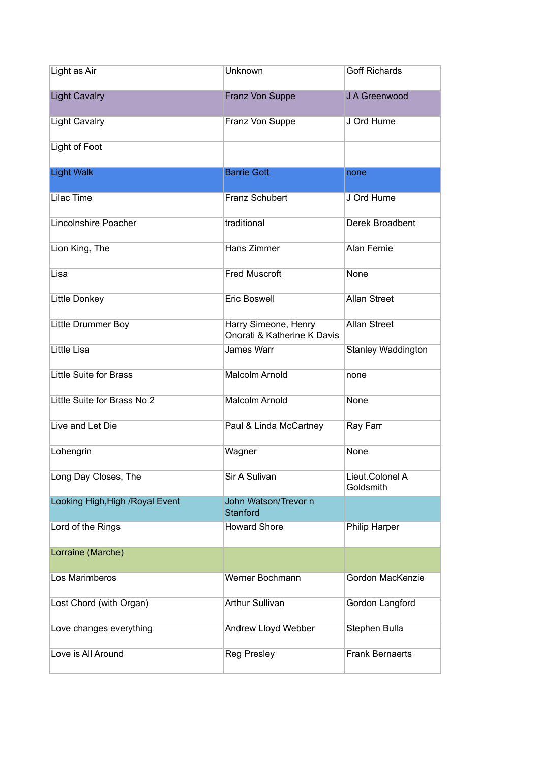| Light as Air                     | Unknown                                             | <b>Goff Richards</b>         |
|----------------------------------|-----------------------------------------------------|------------------------------|
| <b>Light Cavalry</b>             | Franz Von Suppe                                     | J A Greenwood                |
| <b>Light Cavalry</b>             | Franz Von Suppe                                     | J Ord Hume                   |
| Light of Foot                    |                                                     |                              |
| <b>Light Walk</b>                | <b>Barrie Gott</b>                                  | none                         |
| <b>Lilac Time</b>                | Franz Schubert                                      | J Ord Hume                   |
| Lincolnshire Poacher             | traditional                                         | Derek Broadbent              |
| Lion King, The                   | <b>Hans Zimmer</b>                                  | <b>Alan Fernie</b>           |
| Lisa                             | <b>Fred Muscroft</b>                                | None                         |
| Little Donkey                    | <b>Eric Boswell</b>                                 | <b>Allan Street</b>          |
| Little Drummer Boy               | Harry Simeone, Henry<br>Onorati & Katherine K Davis | <b>Allan Street</b>          |
| <b>Little Lisa</b>               | James Warr                                          | <b>Stanley Waddington</b>    |
| Little Suite for Brass           | <b>Malcolm Arnold</b>                               | none                         |
| Little Suite for Brass No 2      | <b>Malcolm Arnold</b>                               | None                         |
| Live and Let Die                 | Paul & Linda McCartney                              | Ray Farr                     |
| Lohengrin                        | Wagner                                              | None                         |
| Long Day Closes, The             | Sir A Sulivan                                       | Lieut.Colonel A<br>Goldsmith |
| Looking High, High / Royal Event | John Watson/Trevor n<br>Stanford                    |                              |
| Lord of the Rings                | <b>Howard Shore</b>                                 | Philip Harper                |
| Lorraine (Marche)                |                                                     |                              |
| Los Marimberos                   | Werner Bochmann                                     | Gordon MacKenzie             |
| Lost Chord (with Organ)          | <b>Arthur Sullivan</b>                              | Gordon Langford              |
| Love changes everything          | Andrew Lloyd Webber                                 | Stephen Bulla                |
| Love is All Around               | <b>Reg Presley</b>                                  | <b>Frank Bernaerts</b>       |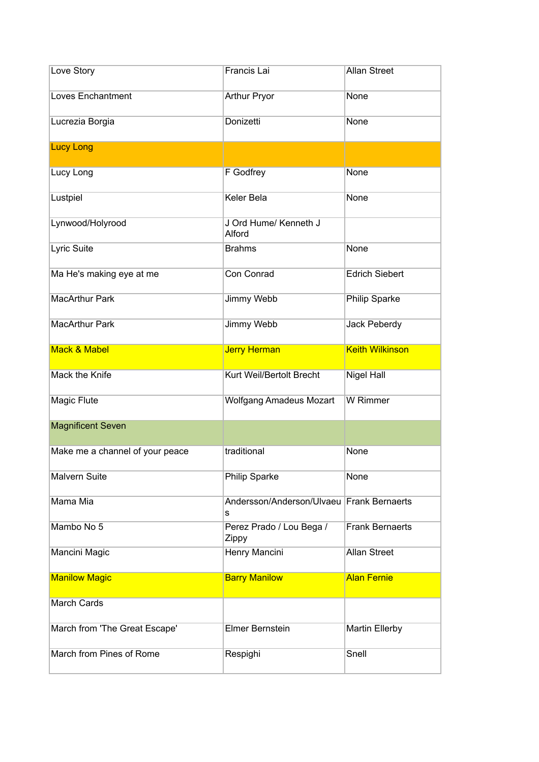| Love Story                      | Francis Lai                                    | <b>Allan Street</b>    |
|---------------------------------|------------------------------------------------|------------------------|
| <b>Loves Enchantment</b>        | <b>Arthur Pryor</b>                            | None                   |
| Lucrezia Borgia                 | Donizetti                                      | None                   |
| <b>Lucy Long</b>                |                                                |                        |
| Lucy Long                       | F Godfrey                                      | None                   |
| Lustpiel                        | Keler Bela                                     | None                   |
| Lynwood/Holyrood                | J Ord Hume/ Kenneth J<br>Alford                |                        |
| Lyric Suite                     | <b>Brahms</b>                                  | None                   |
| Ma He's making eye at me        | Con Conrad                                     | <b>Edrich Siebert</b>  |
| <b>MacArthur Park</b>           | Jimmy Webb                                     | Philip Sparke          |
| <b>MacArthur Park</b>           | Jimmy Webb                                     | <b>Jack Peberdy</b>    |
| <b>Mack &amp; Mabel</b>         | <b>Jerry Herman</b>                            | <b>Keith Wilkinson</b> |
| Mack the Knife                  | Kurt Weil/Bertolt Brecht                       | Nigel Hall             |
| Magic Flute                     | <b>Wolfgang Amadeus Mozart</b>                 | W Rimmer               |
| <b>Magnificent Seven</b>        |                                                |                        |
| Make me a channel of your peace | traditional                                    | None                   |
| Malvern Suite                   | Philip Sparke                                  | None                   |
| Mama Mia                        | Andersson/Anderson/Ulvaeu Frank Bernaerts<br>s |                        |
| Mambo No 5                      | Perez Prado / Lou Bega /<br>Zippy              | <b>Frank Bernaerts</b> |
| Mancini Magic                   | Henry Mancini                                  | <b>Allan Street</b>    |
| <b>Manilow Magic</b>            | <b>Barry Manilow</b>                           | <b>Alan Fernie</b>     |
| <b>March Cards</b>              |                                                |                        |
| March from 'The Great Escape'   | Elmer Bernstein                                | <b>Martin Ellerby</b>  |
| March from Pines of Rome        | Respighi                                       | Snell                  |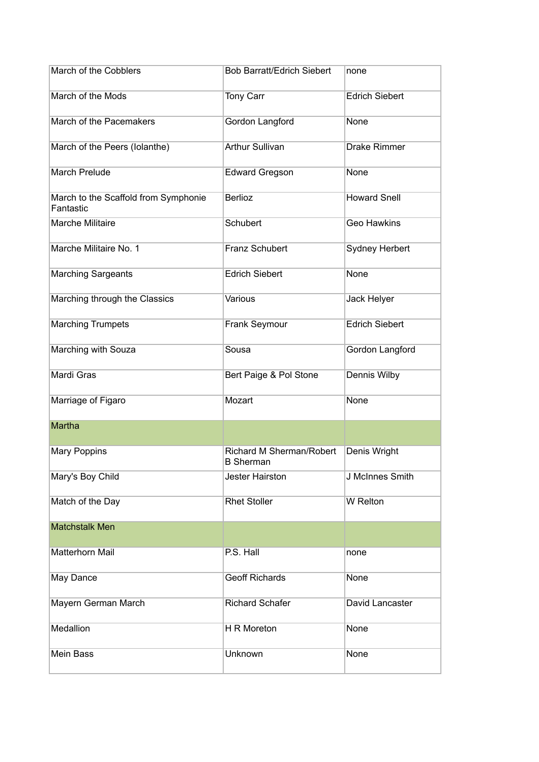| March of the Cobblers                             | <b>Bob Barratt/Edrich Siebert</b>            | none                  |
|---------------------------------------------------|----------------------------------------------|-----------------------|
| March of the Mods                                 | Tony Carr                                    | <b>Edrich Siebert</b> |
| March of the Pacemakers                           | Gordon Langford                              | None                  |
| March of the Peers (Iolanthe)                     | <b>Arthur Sullivan</b>                       | <b>Drake Rimmer</b>   |
| <b>March Prelude</b>                              | <b>Edward Gregson</b>                        | None                  |
| March to the Scaffold from Symphonie<br>Fantastic | <b>Berlioz</b>                               | <b>Howard Snell</b>   |
| Marche Militaire                                  | Schubert                                     | <b>Geo Hawkins</b>    |
| Marche Militaire No. 1                            | Franz Schubert                               | <b>Sydney Herbert</b> |
| <b>Marching Sargeants</b>                         | <b>Edrich Siebert</b>                        | None                  |
| Marching through the Classics                     | Various                                      | Jack Helyer           |
| <b>Marching Trumpets</b>                          | Frank Seymour                                | <b>Edrich Siebert</b> |
| Marching with Souza                               | Sousa                                        | Gordon Langford       |
| Mardi Gras                                        | Bert Paige & Pol Stone                       | Dennis Wilby          |
| Marriage of Figaro                                | Mozart                                       | None                  |
| Martha                                            |                                              |                       |
| <b>Mary Poppins</b>                               | Richard M Sherman/Robert<br><b>B</b> Sherman | Denis Wright          |
| Mary's Boy Child                                  | <b>Jester Hairston</b>                       | J McInnes Smith       |
| Match of the Day                                  | <b>Rhet Stoller</b>                          | <b>W</b> Relton       |
| <b>Matchstalk Men</b>                             |                                              |                       |
| Matterhorn Mail                                   | P.S. Hall                                    | none                  |
| May Dance                                         | <b>Geoff Richards</b>                        | None                  |
| Mayern German March                               | <b>Richard Schafer</b>                       | David Lancaster       |
| Medallion                                         | H R Moreton                                  | None                  |
| Mein Bass                                         | Unknown                                      | None                  |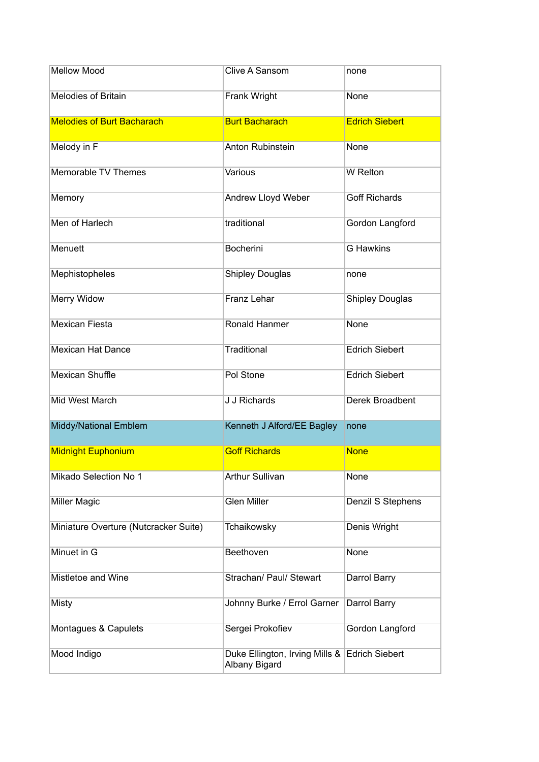| <b>Mellow Mood</b>                    | Clive A Sansom                                                 | none                   |
|---------------------------------------|----------------------------------------------------------------|------------------------|
| <b>Melodies of Britain</b>            | Frank Wright                                                   | None                   |
| <b>Melodies of Burt Bacharach</b>     | <b>Burt Bacharach</b>                                          | <b>Edrich Siebert</b>  |
| Melody in F                           | Anton Rubinstein                                               | None                   |
| Memorable TV Themes                   | Various                                                        | <b>W</b> Relton        |
| Memory                                | Andrew Lloyd Weber                                             | <b>Goff Richards</b>   |
| Men of Harlech                        | traditional                                                    | Gordon Langford        |
| Menuett                               | <b>Bocherini</b>                                               | <b>G</b> Hawkins       |
| Mephistopheles                        | <b>Shipley Douglas</b>                                         | none                   |
| Merry Widow                           | Franz Lehar                                                    | <b>Shipley Douglas</b> |
| <b>Mexican Fiesta</b>                 | Ronald Hanmer                                                  | None                   |
| <b>Mexican Hat Dance</b>              | Traditional                                                    | <b>Edrich Siebert</b>  |
| <b>Mexican Shuffle</b>                | Pol Stone                                                      | <b>Edrich Siebert</b>  |
| Mid West March                        | J J Richards                                                   | Derek Broadbent        |
| Middy/National Emblem                 | Kenneth J Alford/EE Bagley                                     | none                   |
| <b>Midnight Euphonium</b>             | <b>Goff Richards</b>                                           | <b>None</b>            |
| Mikado Selection No 1                 | <b>Arthur Sullivan</b>                                         | None                   |
| <b>Miller Magic</b>                   | <b>Glen Miller</b>                                             | Denzil S Stephens      |
| Miniature Overture (Nutcracker Suite) | Tchaikowsky                                                    | Denis Wright           |
| Minuet in G                           | Beethoven                                                      | None                   |
| Mistletoe and Wine                    | Strachan/ Paul/ Stewart                                        | Darrol Barry           |
| Misty                                 | Johnny Burke / Errol Garner                                    | Darrol Barry           |
| Montagues & Capulets                  | Sergei Prokofiev                                               | Gordon Langford        |
| Mood Indigo                           | Duke Ellington, Irving Mills & Edrich Siebert<br>Albany Bigard |                        |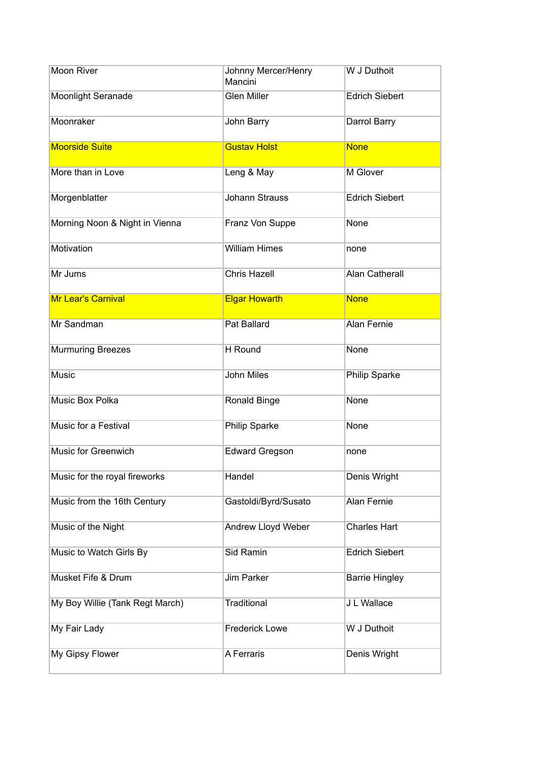| Moon River                      | Johnny Mercer/Henry<br>Mancini | W J Duthoit           |
|---------------------------------|--------------------------------|-----------------------|
| Moonlight Seranade              | <b>Glen Miller</b>             | <b>Edrich Siebert</b> |
| Moonraker                       | John Barry                     | Darrol Barry          |
| <b>Moorside Suite</b>           | <b>Gustav Holst</b>            | <b>None</b>           |
| More than in Love               | Leng & May                     | M Glover              |
| Morgenblatter                   | <b>Johann Strauss</b>          | <b>Edrich Siebert</b> |
| Morning Noon & Night in Vienna  | Franz Von Suppe                | None                  |
| Motivation                      | <b>William Himes</b>           | none                  |
| Mr Jums                         | <b>Chris Hazell</b>            | <b>Alan Catherall</b> |
| <b>Mr Lear's Carnival</b>       | <b>Elgar Howarth</b>           | <b>None</b>           |
| Mr Sandman                      | <b>Pat Ballard</b>             | <b>Alan Fernie</b>    |
| <b>Murmuring Breezes</b>        | H Round                        | None                  |
| Music                           | <b>John Miles</b>              | <b>Philip Sparke</b>  |
| Music Box Polka                 | Ronald Binge                   | None                  |
| Music for a Festival            | Philip Sparke                  | None                  |
| <b>Music for Greenwich</b>      | <b>Edward Gregson</b>          | none                  |
| Music for the royal fireworks   | Handel                         | Denis Wright          |
| Music from the 16th Century     | Gastoldi/Byrd/Susato           | <b>Alan Fernie</b>    |
| Music of the Night              | <b>Andrew Lloyd Weber</b>      | <b>Charles Hart</b>   |
| Music to Watch Girls By         | Sid Ramin                      | <b>Edrich Siebert</b> |
| Musket Fife & Drum              | Jim Parker                     | <b>Barrie Hingley</b> |
| My Boy Willie (Tank Regt March) | <b>Traditional</b>             | J L Wallace           |
| My Fair Lady                    | <b>Frederick Lowe</b>          | W J Duthoit           |
| My Gipsy Flower                 | A Ferraris                     | Denis Wright          |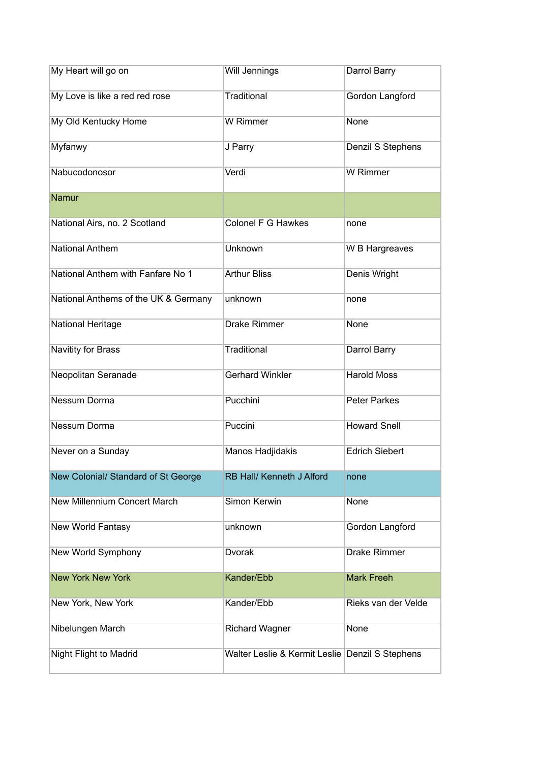| My Heart will go on                  | Will Jennings                                   | Darrol Barry          |
|--------------------------------------|-------------------------------------------------|-----------------------|
| My Love is like a red red rose       | Traditional                                     | Gordon Langford       |
| My Old Kentucky Home                 | W Rimmer                                        | None                  |
| Myfanwy                              | J Parry                                         | Denzil S Stephens     |
| Nabucodonosor                        | Verdi                                           | W Rimmer              |
| Namur                                |                                                 |                       |
| National Airs, no. 2 Scotland        | Colonel F G Hawkes                              | none                  |
| <b>National Anthem</b>               | Unknown                                         | W B Hargreaves        |
| National Anthem with Fanfare No 1    | <b>Arthur Bliss</b>                             | Denis Wright          |
| National Anthems of the UK & Germany | unknown                                         | none                  |
| <b>National Heritage</b>             | <b>Drake Rimmer</b>                             | None                  |
| Navitity for Brass                   | Traditional                                     | Darrol Barry          |
| Neopolitan Seranade                  | <b>Gerhard Winkler</b>                          | <b>Harold Moss</b>    |
| Nessum Dorma                         | Pucchini                                        | <b>Peter Parkes</b>   |
| Nessum Dorma                         | Puccini                                         | <b>Howard Snell</b>   |
| Never on a Sunday                    | Manos Hadjidakis                                | <b>Edrich Siebert</b> |
| New Colonial/ Standard of St George  | RB Hall/ Kenneth J Alford                       | none                  |
| <b>New Millennium Concert March</b>  | Simon Kerwin                                    | None                  |
| New World Fantasy                    | unknown                                         | Gordon Langford       |
| New World Symphony                   | Dvorak                                          | <b>Drake Rimmer</b>   |
| <b>New York New York</b>             | Kander/Ebb                                      | <b>Mark Freeh</b>     |
| New York, New York                   | Kander/Ebb                                      | Rieks van der Velde   |
| Nibelungen March                     | <b>Richard Wagner</b>                           | None                  |
| Night Flight to Madrid               | Walter Leslie & Kermit Leslie Denzil S Stephens |                       |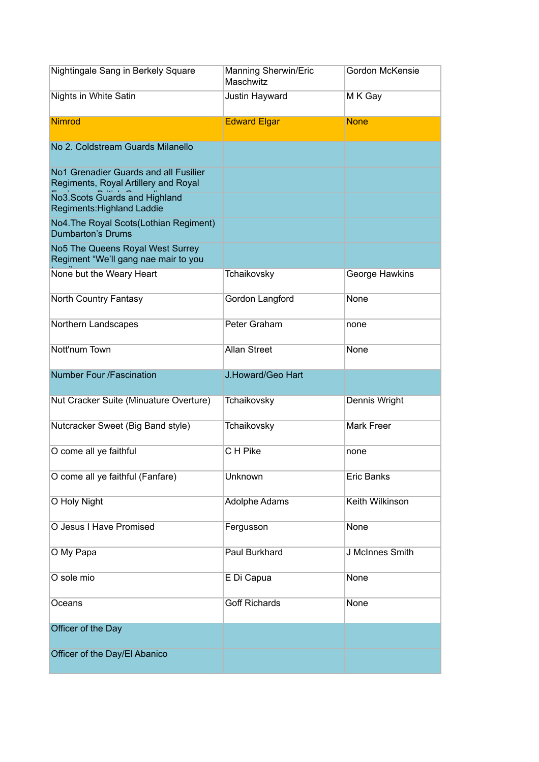| Nightingale Sang in Berkely Square                                            | Manning Sherwin/Eric<br>Maschwitz | Gordon McKensie   |
|-------------------------------------------------------------------------------|-----------------------------------|-------------------|
| Nights in White Satin                                                         | Justin Hayward                    | M K Gay           |
| <b>Nimrod</b>                                                                 | <b>Edward Elgar</b>               | <b>None</b>       |
| No 2. Coldstream Guards Milanello                                             |                                   |                   |
| No1 Grenadier Guards and all Fusilier<br>Regiments, Royal Artillery and Royal |                                   |                   |
| No3. Scots Guards and Highland<br>Regiments: Highland Laddie                  |                                   |                   |
| No4. The Royal Scots (Lothian Regiment)<br><b>Dumbarton's Drums</b>           |                                   |                   |
| No5 The Queens Royal West Surrey<br>Regiment "We'll gang nae mair to you      |                                   |                   |
| None but the Weary Heart                                                      | Tchaikovsky                       | George Hawkins    |
| North Country Fantasy                                                         | Gordon Langford                   | None              |
| Northern Landscapes                                                           | Peter Graham                      | none              |
| Nott'num Town                                                                 | <b>Allan Street</b>               | None              |
| <b>Number Four /Fascination</b>                                               | J.Howard/Geo Hart                 |                   |
| Nut Cracker Suite (Minuature Overture)                                        | Tchaikovsky                       | Dennis Wright     |
| Nutcracker Sweet (Big Band style)                                             | Tchaikovsky                       | <b>Mark Freer</b> |
| O come all ye faithful                                                        | C H Pike                          | none              |
| O come all ye faithful (Fanfare)                                              | Unknown                           | Eric Banks        |
| O Holy Night                                                                  | Adolphe Adams                     | Keith Wilkinson   |
| O Jesus I Have Promised                                                       | Fergusson                         | None              |
| O My Papa                                                                     | Paul Burkhard                     | J McInnes Smith   |
| O sole mio                                                                    | E Di Capua                        | None              |
| Oceans                                                                        | <b>Goff Richards</b>              | None              |
| Officer of the Day                                                            |                                   |                   |
| Officer of the Day/El Abanico                                                 |                                   |                   |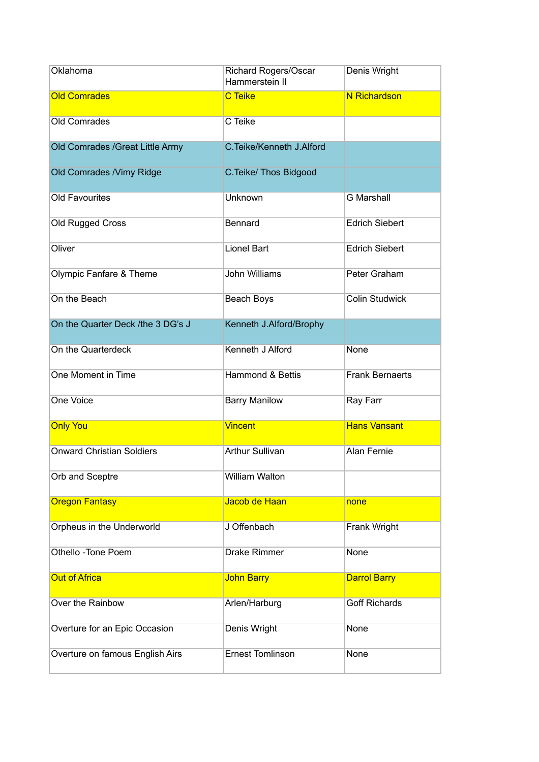| Oklahoma                           | <b>Richard Rogers/Oscar</b><br>Hammerstein II | Denis Wright           |
|------------------------------------|-----------------------------------------------|------------------------|
| <b>Old Comrades</b>                | <b>C</b> Teike                                | <b>N</b> Richardson    |
| Old Comrades                       | C Teike                                       |                        |
| Old Comrades / Great Little Army   | C. Teike/Kenneth J. Alford                    |                        |
| Old Comrades / Vimy Ridge          | C. Teike/ Thos Bidgood                        |                        |
| <b>Old Favourites</b>              | Unknown                                       | <b>G</b> Marshall      |
| Old Rugged Cross                   | Bennard                                       | <b>Edrich Siebert</b>  |
| Oliver                             | <b>Lionel Bart</b>                            | <b>Edrich Siebert</b>  |
| <b>Olympic Fanfare &amp; Theme</b> | John Williams                                 | Peter Graham           |
| On the Beach                       | Beach Boys                                    | <b>Colin Studwick</b>  |
| On the Quarter Deck /the 3 DG's J  | Kenneth J.Alford/Brophy                       |                        |
| On the Quarterdeck                 | Kenneth J Alford                              | None                   |
| One Moment in Time                 | Hammond & Bettis                              | <b>Frank Bernaerts</b> |
| One Voice                          | <b>Barry Manilow</b>                          | Ray Farr               |
| <b>Only You</b>                    | <b>Vincent</b>                                | <b>Hans Vansant</b>    |
| <b>Onward Christian Soldiers</b>   | <b>Arthur Sullivan</b>                        | <b>Alan Fernie</b>     |
| Orb and Sceptre                    | <b>William Walton</b>                         |                        |
| <b>Oregon Fantasy</b>              | Jacob de Haan                                 | none                   |
| Orpheus in the Underworld          | J Offenbach                                   | Frank Wright           |
| Othello - Tone Poem                | <b>Drake Rimmer</b>                           | None                   |
| <b>Out of Africa</b>               | <b>John Barry</b>                             | <b>Darrol Barry</b>    |
| Over the Rainbow                   | Arlen/Harburg                                 | <b>Goff Richards</b>   |
| Overture for an Epic Occasion      | Denis Wright                                  | None                   |
| Overture on famous English Airs    | <b>Ernest Tomlinson</b>                       | None                   |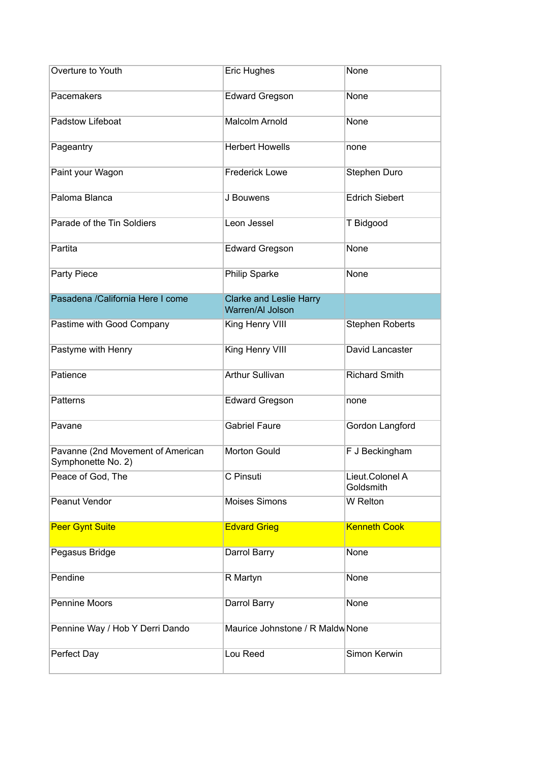| Overture to Youth                                       | <b>Eric Hughes</b>                                 | None                         |
|---------------------------------------------------------|----------------------------------------------------|------------------------------|
| Pacemakers                                              | <b>Edward Gregson</b>                              | None                         |
| Padstow Lifeboat                                        | <b>Malcolm Arnold</b>                              | None                         |
| Pageantry                                               | <b>Herbert Howells</b>                             | none                         |
| Paint your Wagon                                        | <b>Frederick Lowe</b>                              | Stephen Duro                 |
| Paloma Blanca                                           | J Bouwens                                          | <b>Edrich Siebert</b>        |
| Parade of the Tin Soldiers                              | Leon Jessel                                        | T Bidgood                    |
| Partita                                                 | <b>Edward Gregson</b>                              | None                         |
| Party Piece                                             | Philip Sparke                                      | None                         |
| Pasadena /California Here I come                        | <b>Clarke and Leslie Harry</b><br>Warren/AI Jolson |                              |
| Pastime with Good Company                               | King Henry VIII                                    | <b>Stephen Roberts</b>       |
| Pastyme with Henry                                      | King Henry VIII                                    | David Lancaster              |
| Patience                                                | <b>Arthur Sullivan</b>                             | <b>Richard Smith</b>         |
| Patterns                                                | <b>Edward Gregson</b>                              | none                         |
| Pavane                                                  | <b>Gabriel Faure</b>                               | Gordon Langford              |
| Pavanne (2nd Movement of American<br>Symphonette No. 2) | Morton Gould                                       | F J Beckingham               |
| Peace of God, The                                       | C Pinsuti                                          | Lieut.Colonel A<br>Goldsmith |
| <b>Peanut Vendor</b>                                    | <b>Moises Simons</b>                               | W Relton                     |
| <b>Peer Gynt Suite</b>                                  | <b>Edvard Grieg</b>                                | <b>Kenneth Cook</b>          |
| Pegasus Bridge                                          | Darrol Barry                                       | None                         |
| Pendine                                                 | R Martyn                                           | None                         |
| <b>Pennine Moors</b>                                    | Darrol Barry                                       | None                         |
| Pennine Way / Hob Y Derri Dando                         | Maurice Johnstone / R Maldw None                   |                              |
| Perfect Day                                             | Lou Reed                                           | Simon Kerwin                 |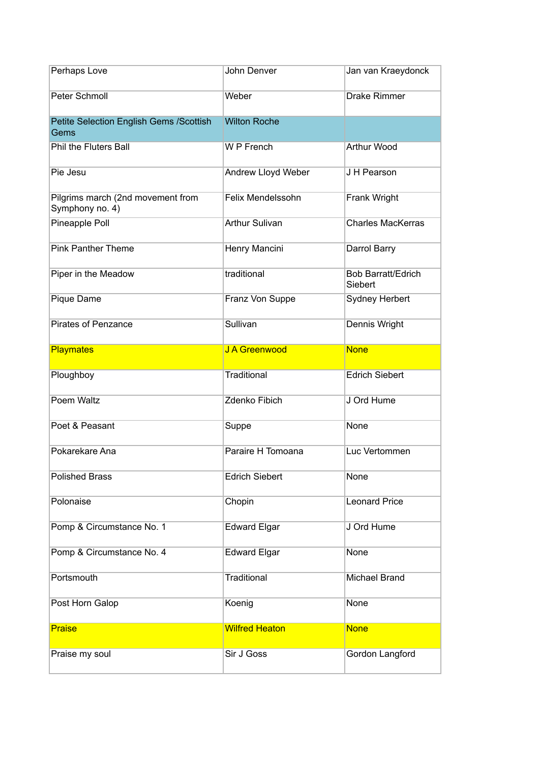| Perhaps Love                                         | John Denver           | Jan van Kraeydonck                   |
|------------------------------------------------------|-----------------------|--------------------------------------|
| Peter Schmoll                                        | Weber                 | <b>Drake Rimmer</b>                  |
| Petite Selection English Gems / Scottish<br>Gems     | <b>Wilton Roche</b>   |                                      |
| Phil the Fluters Ball                                | W P French            | Arthur Wood                          |
| Pie Jesu                                             | Andrew Lloyd Weber    | J H Pearson                          |
| Pilgrims march (2nd movement from<br>Symphony no. 4) | Felix Mendelssohn     | Frank Wright                         |
| Pineapple Poll                                       | <b>Arthur Sulivan</b> | <b>Charles MacKerras</b>             |
| <b>Pink Panther Theme</b>                            | Henry Mancini         | Darrol Barry                         |
| Piper in the Meadow                                  | traditional           | <b>Bob Barratt/Edrich</b><br>Siebert |
| Pique Dame                                           | Franz Von Suppe       | <b>Sydney Herbert</b>                |
| <b>Pirates of Penzance</b>                           | Sullivan              | Dennis Wright                        |
| <b>Playmates</b>                                     | J A Greenwood         | <b>None</b>                          |
| Ploughboy                                            | <b>Traditional</b>    | <b>Edrich Siebert</b>                |
| Poem Waltz                                           | Zdenko Fibich         | J Ord Hume                           |
| Poet & Peasant                                       | Suppe                 | None                                 |
| Pokarekare Ana                                       | Paraire H Tomoana     | Luc Vertommen                        |
| <b>Polished Brass</b>                                | <b>Edrich Siebert</b> | None                                 |
| Polonaise                                            | Chopin                | <b>Leonard Price</b>                 |
| Pomp & Circumstance No. 1                            | <b>Edward Elgar</b>   | J Ord Hume                           |
| Pomp & Circumstance No. 4                            | <b>Edward Elgar</b>   | None                                 |
| Portsmouth                                           | <b>Traditional</b>    | Michael Brand                        |
| Post Horn Galop                                      | Koenig                | None                                 |
| Praise                                               | <b>Wilfred Heaton</b> | <b>None</b>                          |
| Praise my soul                                       | Sir J Goss            | Gordon Langford                      |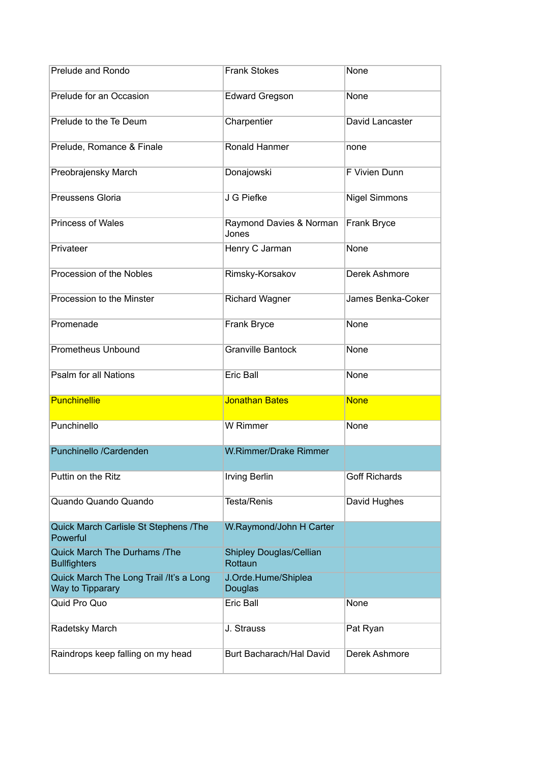| Prelude and Rondo                                           | <b>Frank Stokes</b>                       | None                 |
|-------------------------------------------------------------|-------------------------------------------|----------------------|
| Prelude for an Occasion                                     | <b>Edward Gregson</b>                     | <b>None</b>          |
| Prelude to the Te Deum                                      | Charpentier                               | David Lancaster      |
| Prelude, Romance & Finale                                   | Ronald Hanmer                             | none                 |
| Preobrajensky March                                         | Donajowski                                | F Vivien Dunn        |
| Preussens Gloria                                            | J G Piefke                                | <b>Nigel Simmons</b> |
| <b>Princess of Wales</b>                                    | Raymond Davies & Norman<br>Jones          | Frank Bryce          |
| Privateer                                                   | Henry C Jarman                            | None                 |
| Procession of the Nobles                                    | Rimsky-Korsakov                           | Derek Ashmore        |
| Procession to the Minster                                   | <b>Richard Wagner</b>                     | James Benka-Coker    |
| Promenade                                                   | Frank Bryce                               | <b>None</b>          |
| <b>Prometheus Unbound</b>                                   | <b>Granville Bantock</b>                  | None                 |
| Psalm for all Nations                                       | Eric Ball                                 | None                 |
| <b>Punchinellie</b>                                         | <b>Jonathan Bates</b>                     | <b>None</b>          |
| Punchinello                                                 | W Rimmer                                  | None                 |
| Punchinello /Cardenden                                      | W.Rimmer/Drake Rimmer                     |                      |
| Puttin on the Ritz                                          | <b>Irving Berlin</b>                      | <b>Goff Richards</b> |
| Quando Quando Quando                                        | <b>Testa/Renis</b>                        | David Hughes         |
| Quick March Carlisle St Stephens /The<br>Powerful           | W.Raymond/John H Carter                   |                      |
| <b>Quick March The Durhams /The</b><br><b>Bullfighters</b>  | <b>Shipley Douglas/Cellian</b><br>Rottaun |                      |
| Quick March The Long Trail /It's a Long<br>Way to Tipparary | J.Orde.Hume/Shiplea<br>Douglas            |                      |
| Quid Pro Quo                                                | <b>Eric Ball</b>                          | None                 |
| Radetsky March                                              | J. Strauss                                | Pat Ryan             |
| Raindrops keep falling on my head                           | Burt Bacharach/Hal David                  | Derek Ashmore        |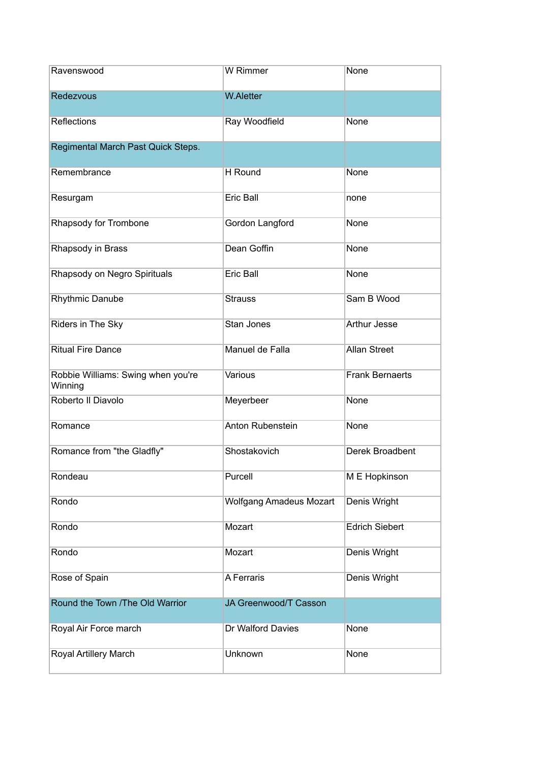| Ravenswood                                    | W Rimmer                       | None                   |
|-----------------------------------------------|--------------------------------|------------------------|
| Redezvous                                     | <b>W.Aletter</b>               |                        |
| <b>Reflections</b>                            | Ray Woodfield                  | None                   |
| Regimental March Past Quick Steps.            |                                |                        |
| Remembrance                                   | H Round                        | None                   |
| Resurgam                                      | <b>Eric Ball</b>               | none                   |
| Rhapsody for Trombone                         | Gordon Langford                | None                   |
| Rhapsody in Brass                             | Dean Goffin                    | None                   |
| Rhapsody on Negro Spirituals                  | <b>Eric Ball</b>               | <b>None</b>            |
| <b>Rhythmic Danube</b>                        | <b>Strauss</b>                 | Sam B Wood             |
| Riders in The Sky                             | Stan Jones                     | <b>Arthur Jesse</b>    |
| <b>Ritual Fire Dance</b>                      | Manuel de Falla                | <b>Allan Street</b>    |
| Robbie Williams: Swing when you're<br>Winning | Various                        | <b>Frank Bernaerts</b> |
| Roberto II Diavolo                            | Meyerbeer                      | None                   |
| Romance                                       | Anton Rubenstein               | None                   |
| Romance from "the Gladfly"                    | Shostakovich                   | Derek Broadbent        |
| Rondeau                                       | Purcell                        | M E Hopkinson          |
| Rondo                                         | <b>Wolfgang Amadeus Mozart</b> | Denis Wright           |
| Rondo                                         | Mozart                         | <b>Edrich Siebert</b>  |
| Rondo                                         | Mozart                         | Denis Wright           |
| Rose of Spain                                 | A Ferraris                     | Denis Wright           |
| Round the Town /The Old Warrior               | JA Greenwood/T Casson          |                        |
| Royal Air Force march                         | Dr Walford Davies              | None                   |
| Royal Artillery March                         | Unknown                        | None                   |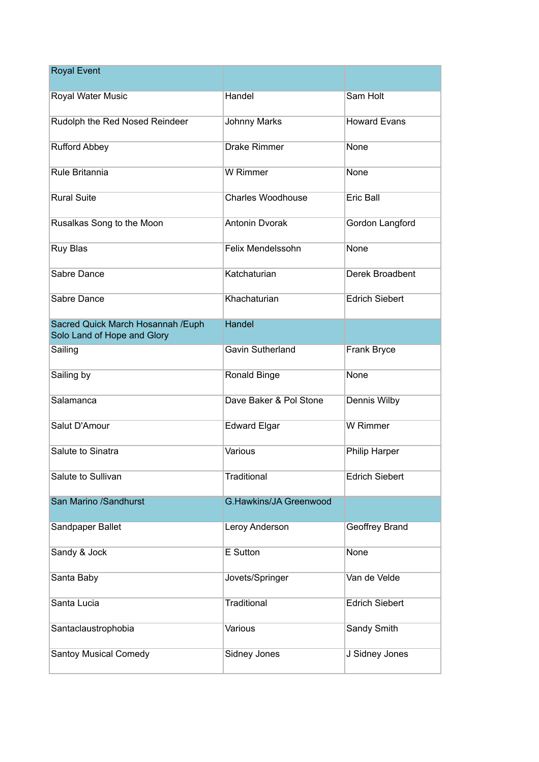| <b>Royal Event</b>                                                |                               |                       |
|-------------------------------------------------------------------|-------------------------------|-----------------------|
| <b>Royal Water Music</b>                                          | Handel                        | Sam Holt              |
| Rudolph the Red Nosed Reindeer                                    | <b>Johnny Marks</b>           | <b>Howard Evans</b>   |
| <b>Rufford Abbey</b>                                              | <b>Drake Rimmer</b>           | None                  |
| Rule Britannia                                                    | W Rimmer                      | None                  |
| <b>Rural Suite</b>                                                | <b>Charles Woodhouse</b>      | <b>Eric Ball</b>      |
| Rusalkas Song to the Moon                                         | <b>Antonin Dvorak</b>         | Gordon Langford       |
| Ruy Blas                                                          | Felix Mendelssohn             | None                  |
| Sabre Dance                                                       | Katchaturian                  | Derek Broadbent       |
| Sabre Dance                                                       | Khachaturian                  | <b>Edrich Siebert</b> |
| Sacred Quick March Hosannah / Euph<br>Solo Land of Hope and Glory | Handel                        |                       |
| Sailing                                                           | <b>Gavin Sutherland</b>       | Frank Bryce           |
| Sailing by                                                        | Ronald Binge                  | None                  |
| Salamanca                                                         | Dave Baker & Pol Stone        | Dennis Wilby          |
| Salut D'Amour                                                     | <b>Edward Elgar</b>           | <b>W</b> Rimmer       |
| Salute to Sinatra                                                 | Various                       | Philip Harper         |
| Salute to Sullivan                                                | Traditional                   | <b>Edrich Siebert</b> |
| San Marino /Sandhurst                                             | <b>G.Hawkins/JA Greenwood</b> |                       |
| Sandpaper Ballet                                                  | Leroy Anderson                | Geoffrey Brand        |
| Sandy & Jock                                                      | E Sutton                      | None                  |
| Santa Baby                                                        | Jovets/Springer               | Van de Velde          |
| Santa Lucia                                                       | Traditional                   | <b>Edrich Siebert</b> |
| Santaclaustrophobia                                               | Various                       | Sandy Smith           |
| <b>Santoy Musical Comedy</b>                                      | Sidney Jones                  | J Sidney Jones        |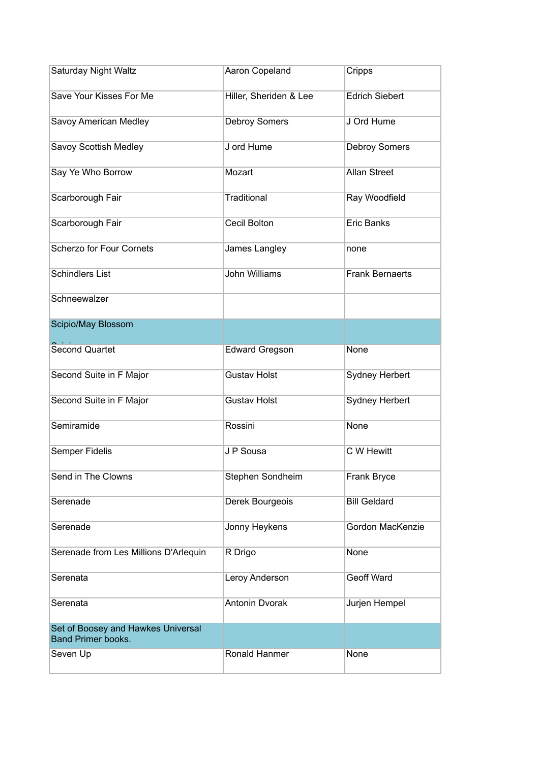| Saturday Night Waltz                                            | Aaron Copeland         | Cripps                 |
|-----------------------------------------------------------------|------------------------|------------------------|
| Save Your Kisses For Me                                         | Hiller, Sheriden & Lee | <b>Edrich Siebert</b>  |
| Savoy American Medley                                           | <b>Debroy Somers</b>   | J Ord Hume             |
| Savoy Scottish Medley                                           | J ord Hume             | Debroy Somers          |
| Say Ye Who Borrow                                               | Mozart                 | <b>Allan Street</b>    |
| Scarborough Fair                                                | Traditional            | Ray Woodfield          |
| Scarborough Fair                                                | Cecil Bolton           | <b>Eric Banks</b>      |
| <b>Scherzo for Four Cornets</b>                                 | James Langley          | none                   |
| <b>Schindlers List</b>                                          | <b>John Williams</b>   | <b>Frank Bernaerts</b> |
| Schneewalzer                                                    |                        |                        |
| Scipio/May Blossom                                              |                        |                        |
| <b>Second Quartet</b>                                           | <b>Edward Gregson</b>  | None                   |
| Second Suite in F Major                                         | <b>Gustav Holst</b>    | <b>Sydney Herbert</b>  |
| Second Suite in F Major                                         | <b>Gustav Holst</b>    | Sydney Herbert         |
| Semiramide                                                      | Rossini                | None                   |
| Semper Fidelis                                                  | J P Sousa              | C W Hewitt             |
| Send in The Clowns                                              | Stephen Sondheim       | Frank Bryce            |
| Serenade                                                        | Derek Bourgeois        | <b>Bill Geldard</b>    |
| Serenade                                                        | Jonny Heykens          | Gordon MacKenzie       |
| Serenade from Les Millions D'Arlequin                           | R Drigo                | None                   |
| Serenata                                                        | Leroy Anderson         | <b>Geoff Ward</b>      |
| Serenata                                                        | <b>Antonin Dvorak</b>  | Jurjen Hempel          |
| Set of Boosey and Hawkes Universal<br><b>Band Primer books.</b> |                        |                        |
| Seven Up                                                        | Ronald Hanmer          | None                   |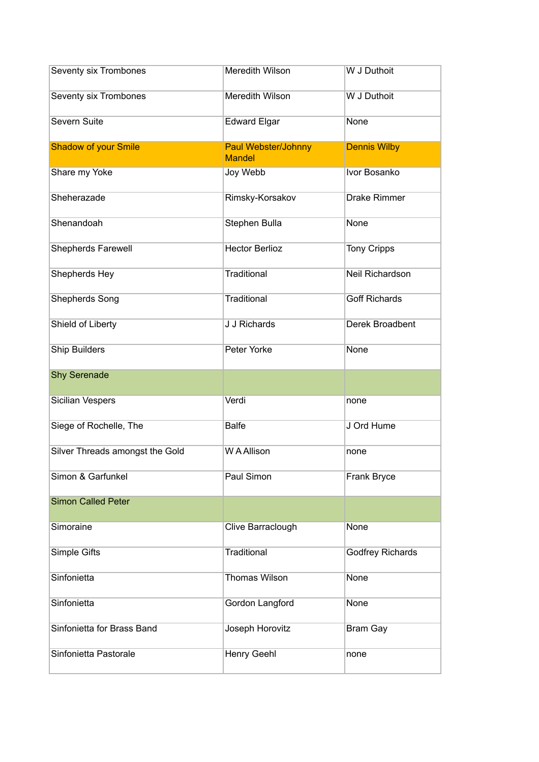| Seventy six Trombones           | Meredith Wilson                             | W J Duthoit          |
|---------------------------------|---------------------------------------------|----------------------|
| <b>Seventy six Trombones</b>    | Meredith Wilson                             | W J Duthoit          |
| <b>Severn Suite</b>             | <b>Edward Elgar</b>                         | None                 |
| <b>Shadow of your Smile</b>     | <b>Paul Webster/Johnny</b><br><b>Mandel</b> | <b>Dennis Wilby</b>  |
| Share my Yoke                   | Joy Webb                                    | Ivor Bosanko         |
| Sheherazade                     | Rimsky-Korsakov                             | <b>Drake Rimmer</b>  |
| Shenandoah                      | Stephen Bulla                               | None                 |
| <b>Shepherds Farewell</b>       | <b>Hector Berlioz</b>                       | <b>Tony Cripps</b>   |
| Shepherds Hey                   | Traditional                                 | Neil Richardson      |
| <b>Shepherds Song</b>           | <b>Traditional</b>                          | <b>Goff Richards</b> |
| Shield of Liberty               | <b>J J Richards</b>                         | Derek Broadbent      |
| <b>Ship Builders</b>            | Peter Yorke                                 | None                 |
| <b>Shy Serenade</b>             |                                             |                      |
| <b>Sicilian Vespers</b>         | Verdi                                       | none                 |
| Siege of Rochelle, The          | <b>Balfe</b>                                | J Ord Hume           |
| Silver Threads amongst the Gold | W A Allison                                 | none                 |
| Simon & Garfunkel               | Paul Simon                                  | Frank Bryce          |
| <b>Simon Called Peter</b>       |                                             |                      |
| Simoraine                       | Clive Barraclough                           | None                 |
| Simple Gifts                    | <b>Traditional</b>                          | Godfrey Richards     |
| Sinfonietta                     | <b>Thomas Wilson</b>                        | None                 |
| Sinfonietta                     | Gordon Langford                             | None                 |
| Sinfonietta for Brass Band      | Joseph Horovitz                             | <b>Bram Gay</b>      |
| Sinfonietta Pastorale           | Henry Geehl                                 |                      |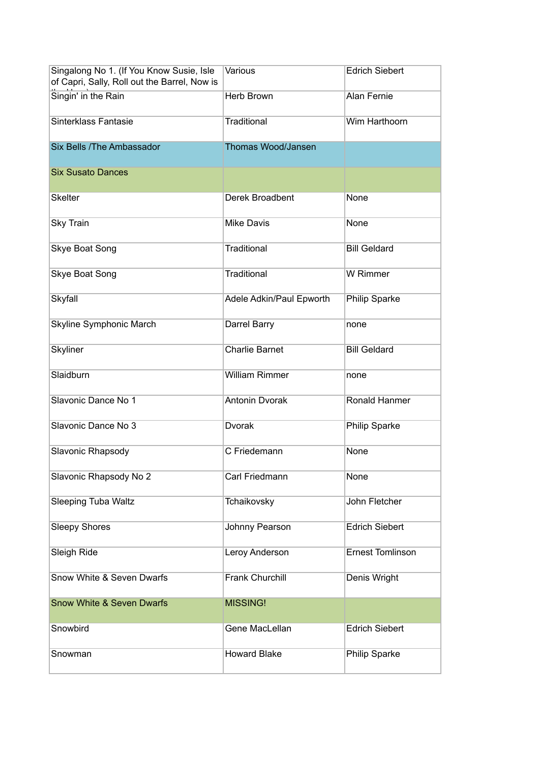| Singalong No 1. (If You Know Susie, Isle<br>of Capri, Sally, Roll out the Barrel, Now is | Various                  | <b>Edrich Siebert</b>   |
|------------------------------------------------------------------------------------------|--------------------------|-------------------------|
| Singin' in the Rain                                                                      | <b>Herb Brown</b>        | <b>Alan Fernie</b>      |
| Sinterklass Fantasie                                                                     | Traditional              | Wim Harthoorn           |
| Six Bells / The Ambassador                                                               | Thomas Wood/Jansen       |                         |
| <b>Six Susato Dances</b>                                                                 |                          |                         |
| <b>Skelter</b>                                                                           | Derek Broadbent          | None                    |
| <b>Sky Train</b>                                                                         | <b>Mike Davis</b>        | None                    |
| <b>Skye Boat Song</b>                                                                    | <b>Traditional</b>       | <b>Bill Geldard</b>     |
| Skye Boat Song                                                                           | <b>Traditional</b>       | W Rimmer                |
| Skyfall                                                                                  | Adele Adkin/Paul Epworth | <b>Philip Sparke</b>    |
| Skyline Symphonic March                                                                  | Darrel Barry             | none                    |
| Skyliner                                                                                 | <b>Charlie Barnet</b>    | <b>Bill Geldard</b>     |
| Slaidburn                                                                                | <b>William Rimmer</b>    | none                    |
| Slavonic Dance No 1                                                                      | <b>Antonin Dvorak</b>    | Ronald Hanmer           |
| Slavonic Dance No 3                                                                      | Dvorak                   | <b>Philip Sparke</b>    |
| Slavonic Rhapsody                                                                        | C Friedemann             | None                    |
| Slavonic Rhapsody No 2                                                                   | Carl Friedmann           | None                    |
| <b>Sleeping Tuba Waltz</b>                                                               | Tchaikovsky              | John Fletcher           |
| <b>Sleepy Shores</b>                                                                     | Johnny Pearson           | <b>Edrich Siebert</b>   |
| Sleigh Ride                                                                              | Leroy Anderson           | <b>Ernest Tomlinson</b> |
| Snow White & Seven Dwarfs                                                                | <b>Frank Churchill</b>   | Denis Wright            |
| <b>Snow White &amp; Seven Dwarfs</b>                                                     | <b>MISSING!</b>          |                         |
| Snowbird                                                                                 | Gene MacLellan           | <b>Edrich Siebert</b>   |
| Snowman                                                                                  | <b>Howard Blake</b>      | Philip Sparke           |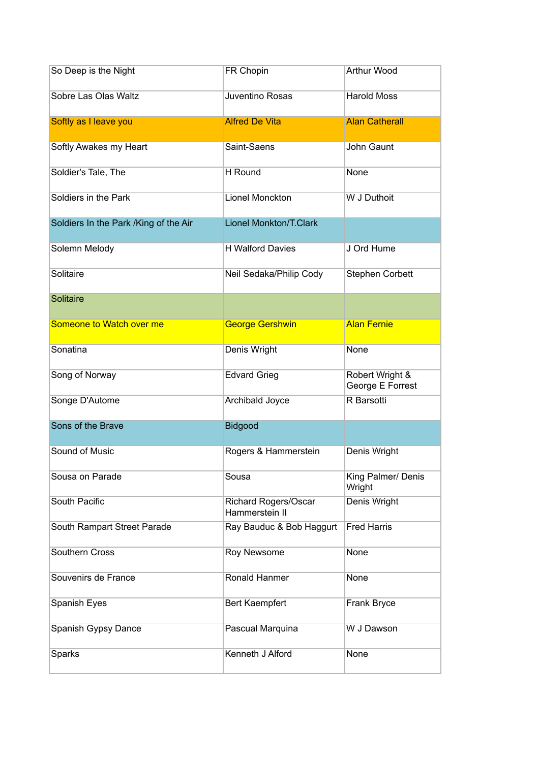| So Deep is the Night                  | FR Chopin                                     | Arthur Wood                         |
|---------------------------------------|-----------------------------------------------|-------------------------------------|
| Sobre Las Olas Waltz                  | Juventino Rosas                               | <b>Harold Moss</b>                  |
| Softly as I leave you                 | <b>Alfred De Vita</b>                         | <b>Alan Catherall</b>               |
| Softly Awakes my Heart                | Saint-Saens                                   | John Gaunt                          |
| Soldier's Tale, The                   | H Round                                       | None                                |
| Soldiers in the Park                  | Lionel Monckton                               | W J Duthoit                         |
| Soldiers In the Park /King of the Air | <b>Lionel Monkton/T.Clark</b>                 |                                     |
| Solemn Melody                         | <b>H</b> Walford Davies                       | J Ord Hume                          |
| Solitaire                             | Neil Sedaka/Philip Cody                       | <b>Stephen Corbett</b>              |
| <b>Solitaire</b>                      |                                               |                                     |
| Someone to Watch over me              | <b>George Gershwin</b>                        | <b>Alan Fernie</b>                  |
| Sonatina                              | Denis Wright                                  | None                                |
| Song of Norway                        | <b>Edvard Grieg</b>                           | Robert Wright &<br>George E Forrest |
| Songe D'Autome                        | Archibald Joyce                               | R Barsotti                          |
| Sons of the Brave                     | <b>Bidgood</b>                                |                                     |
| Sound of Music                        | Rogers & Hammerstein                          | Denis Wright                        |
| Sousa on Parade                       | Sousa                                         | King Palmer/ Denis<br>Wright        |
| South Pacific                         | <b>Richard Rogers/Oscar</b><br>Hammerstein II | Denis Wright                        |
| South Rampart Street Parade           | Ray Bauduc & Bob Haggurt                      | <b>Fred Harris</b>                  |
| Southern Cross                        | Roy Newsome                                   | None                                |
| Souvenirs de France                   | Ronald Hanmer                                 | None                                |
| Spanish Eyes                          | <b>Bert Kaempfert</b>                         | Frank Bryce                         |
| Spanish Gypsy Dance                   | Pascual Marquina                              | W J Dawson                          |
| Sparks                                | Kenneth J Alford                              | None                                |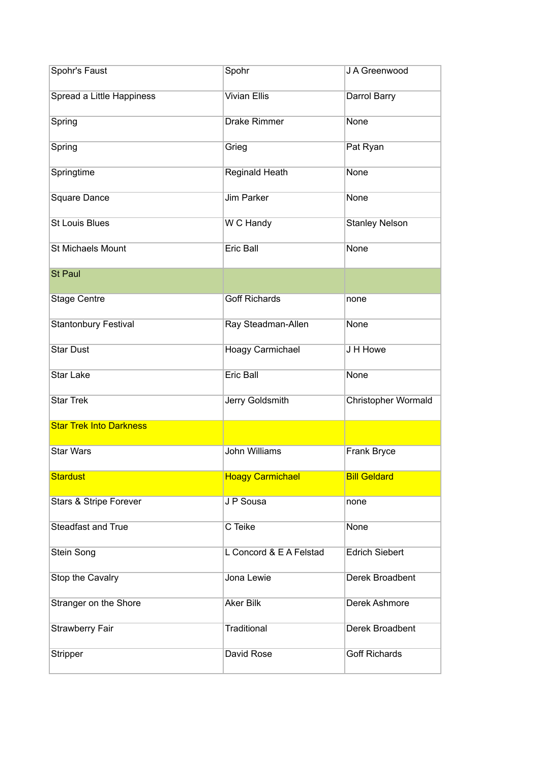| Spohr's Faust                     | Spohr                   | J A Greenwood         |
|-----------------------------------|-------------------------|-----------------------|
| Spread a Little Happiness         | <b>Vivian Ellis</b>     | Darrol Barry          |
| Spring                            | Drake Rimmer            | None                  |
| Spring                            | Grieg                   | Pat Ryan              |
| Springtime                        | Reginald Heath          | None                  |
| Square Dance                      | <b>Jim Parker</b>       | None                  |
| <b>St Louis Blues</b>             | W C Handy               | <b>Stanley Nelson</b> |
| <b>St Michaels Mount</b>          | <b>Eric Ball</b>        | None                  |
| <b>St Paul</b>                    |                         |                       |
| <b>Stage Centre</b>               | <b>Goff Richards</b>    | none                  |
| <b>Stantonbury Festival</b>       | Ray Steadman-Allen      | None                  |
| <b>Star Dust</b>                  | Hoagy Carmichael        | J H Howe              |
| <b>Star Lake</b>                  | Eric Ball               | None                  |
| <b>Star Trek</b>                  | Jerry Goldsmith         | Christopher Wormald   |
| <b>Star Trek Into Darkness</b>    |                         |                       |
| <b>Star Wars</b>                  | <b>John Williams</b>    | Frank Bryce           |
| <b>Stardust</b>                   | <b>Hoagy Carmichael</b> | <b>Bill Geldard</b>   |
| <b>Stars &amp; Stripe Forever</b> | J P Sousa               | none                  |
| <b>Steadfast and True</b>         | C Teike                 | None                  |
| Stein Song                        | L Concord & E A Felstad | <b>Edrich Siebert</b> |
| Stop the Cavalry                  | Jona Lewie              | Derek Broadbent       |
| Stranger on the Shore             | <b>Aker Bilk</b>        | Derek Ashmore         |
| Strawberry Fair                   | Traditional             | Derek Broadbent       |
| Stripper                          | David Rose              | <b>Goff Richards</b>  |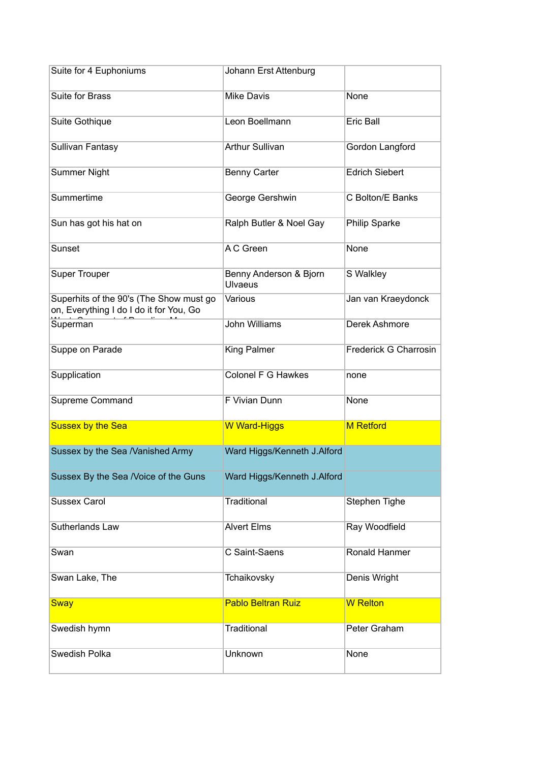| Suite for 4 Euphoniums                                                             | Johann Erst Attenburg                    |                       |
|------------------------------------------------------------------------------------|------------------------------------------|-----------------------|
| Suite for Brass                                                                    | <b>Mike Davis</b>                        | None                  |
| Suite Gothique                                                                     | Leon Boellmann                           | <b>Eric Ball</b>      |
| Sullivan Fantasy                                                                   | <b>Arthur Sullivan</b>                   | Gordon Langford       |
| <b>Summer Night</b>                                                                | <b>Benny Carter</b>                      | <b>Edrich Siebert</b> |
| Summertime                                                                         | George Gershwin                          | C Bolton/E Banks      |
| Sun has got his hat on                                                             | Ralph Butler & Noel Gay                  | Philip Sparke         |
| Sunset                                                                             | A C Green                                | None                  |
| <b>Super Trouper</b>                                                               | Benny Anderson & Bjorn<br><b>Ulvaeus</b> | S Walkley             |
| Superhits of the 90's (The Show must go<br>on, Everything I do I do it for You, Go | Various                                  | Jan van Kraeydonck    |
| Superman                                                                           | <b>John Williams</b>                     | Derek Ashmore         |
| Suppe on Parade                                                                    | King Palmer                              | Frederick G Charrosin |
| Supplication                                                                       | Colonel F G Hawkes                       | none                  |
| Supreme Command                                                                    | F Vivian Dunn                            | None                  |
| <b>Sussex by the Sea</b>                                                           | <b>W Ward-Higgs</b>                      | <b>M</b> Retford      |
| Sussex by the Sea /Vanished Army                                                   | Ward Higgs/Kenneth J.Alford              |                       |
| Sussex By the Sea /Voice of the Guns                                               | Ward Higgs/Kenneth J.Alford              |                       |
| <b>Sussex Carol</b>                                                                | <b>Traditional</b>                       | Stephen Tighe         |
| Sutherlands Law                                                                    | <b>Alvert Elms</b>                       | Ray Woodfield         |
| Swan                                                                               | C Saint-Saens                            | Ronald Hanmer         |
| Swan Lake, The                                                                     | Tchaikovsky                              | Denis Wright          |
| <b>Sway</b>                                                                        | <b>Pablo Beltran Ruiz</b>                | <b>W</b> Relton       |
| Swedish hymn                                                                       | <b>Traditional</b>                       | Peter Graham          |
| Swedish Polka                                                                      | Unknown                                  | None                  |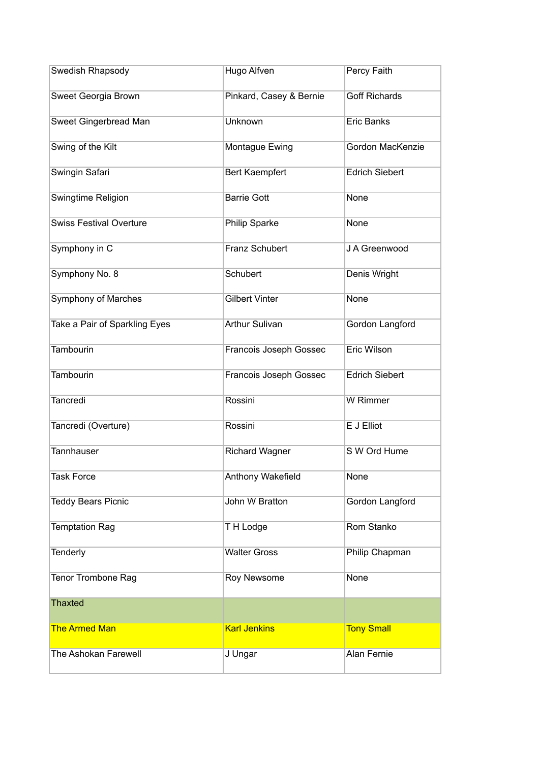| Swedish Rhapsody               | Hugo Alfven             | Percy Faith           |
|--------------------------------|-------------------------|-----------------------|
| Sweet Georgia Brown            | Pinkard, Casey & Bernie | <b>Goff Richards</b>  |
| Sweet Gingerbread Man          | Unknown                 | <b>Eric Banks</b>     |
| Swing of the Kilt              | Montague Ewing          | Gordon MacKenzie      |
| Swingin Safari                 | <b>Bert Kaempfert</b>   | <b>Edrich Siebert</b> |
| Swingtime Religion             | <b>Barrie Gott</b>      | None                  |
| <b>Swiss Festival Overture</b> | Philip Sparke           | None                  |
| Symphony in C                  | Franz Schubert          | J A Greenwood         |
| Symphony No. 8                 | Schubert                | Denis Wright          |
| Symphony of Marches            | <b>Gilbert Vinter</b>   | None                  |
| Take a Pair of Sparkling Eyes  | <b>Arthur Sulivan</b>   | Gordon Langford       |
| <b>Tambourin</b>               | Francois Joseph Gossec  | Eric Wilson           |
| Tambourin                      | Francois Joseph Gossec  | <b>Edrich Siebert</b> |
| Tancredi                       | Rossini                 | W Rimmer              |
| Tancredi (Overture)            | Rossini                 | E J Elliot            |
| <b>Tannhauser</b>              | <b>Richard Wagner</b>   | S W Ord Hume          |
| <b>Task Force</b>              | Anthony Wakefield       | None                  |
| <b>Teddy Bears Picnic</b>      | John W Bratton          | Gordon Langford       |
| <b>Temptation Rag</b>          | TH Lodge                | Rom Stanko            |
| Tenderly                       | <b>Walter Gross</b>     | Philip Chapman        |
| Tenor Trombone Rag             | Roy Newsome             | None                  |
| <b>Thaxted</b>                 |                         |                       |
| <b>The Armed Man</b>           | <b>Karl Jenkins</b>     | <b>Tony Small</b>     |
| The Ashokan Farewell           | J Ungar                 | <b>Alan Fernie</b>    |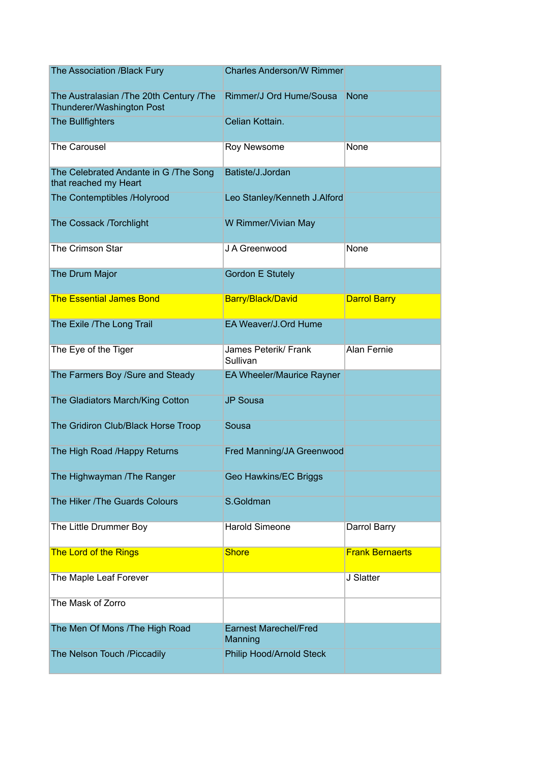| The Association /Black Fury                                          | <b>Charles Anderson/W Rimmer</b>        |                        |
|----------------------------------------------------------------------|-----------------------------------------|------------------------|
| The Australasian /The 20th Century /The<br>Thunderer/Washington Post | Rimmer/J Ord Hume/Sousa                 | <b>None</b>            |
| The Bullfighters                                                     | Celian Kottain.                         |                        |
| The Carousel                                                         | Roy Newsome                             | None                   |
| The Celebrated Andante in G /The Song<br>that reached my Heart       | Batiste/J.Jordan                        |                        |
| The Contemptibles /Holyrood                                          | Leo Stanley/Kenneth J.Alford            |                        |
| The Cossack /Torchlight                                              | W Rimmer/Vivian May                     |                        |
| The Crimson Star                                                     | J A Greenwood                           | None                   |
| The Drum Major                                                       | <b>Gordon E Stutely</b>                 |                        |
| <b>The Essential James Bond</b>                                      | Barry/Black/David                       | <b>Darrol Barry</b>    |
| The Exile / The Long Trail                                           | EA Weaver/J.Ord Hume                    |                        |
| The Eye of the Tiger                                                 | James Peterik/ Frank<br>Sullivan        | <b>Alan Fernie</b>     |
|                                                                      |                                         |                        |
| The Farmers Boy /Sure and Steady                                     | EA Wheeler/Maurice Rayner               |                        |
| The Gladiators March/King Cotton                                     | <b>JP Sousa</b>                         |                        |
| The Gridiron Club/Black Horse Troop                                  | Sousa                                   |                        |
| The High Road /Happy Returns                                         | Fred Manning/JA Greenwood               |                        |
| The Highwayman /The Ranger                                           | Geo Hawkins/EC Briggs                   |                        |
| The Hiker /The Guards Colours                                        | S.Goldman                               |                        |
| The Little Drummer Boy                                               | <b>Harold Simeone</b>                   | Darrol Barry           |
| The Lord of the Rings                                                | <b>Shore</b>                            | <b>Frank Bernaerts</b> |
| The Maple Leaf Forever                                               |                                         | J Slatter              |
| The Mask of Zorro                                                    |                                         |                        |
| The Men Of Mons / The High Road                                      | <b>Earnest Marechel/Fred</b><br>Manning |                        |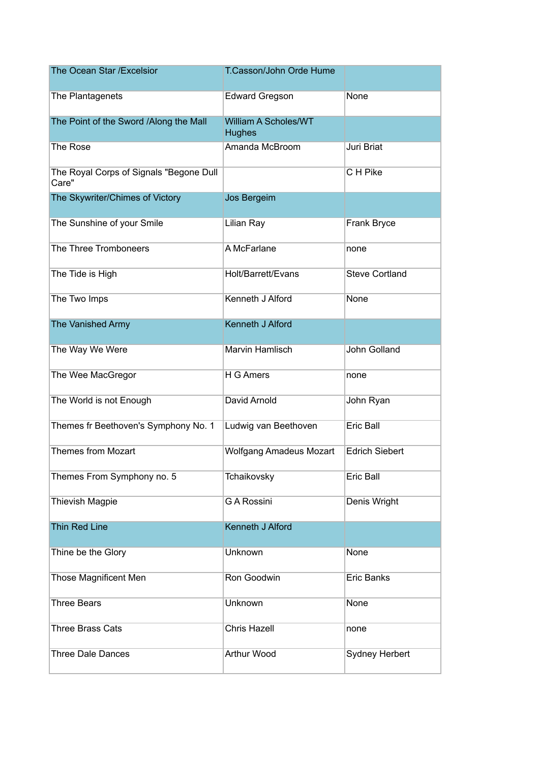| The Ocean Star / Excelsior                       | T.Casson/John Orde Hume                      |                       |
|--------------------------------------------------|----------------------------------------------|-----------------------|
| The Plantagenets                                 | <b>Edward Gregson</b>                        | None                  |
| The Point of the Sword /Along the Mall           | <b>William A Scholes/WT</b><br><b>Hughes</b> |                       |
| The Rose                                         | Amanda McBroom                               | Juri Briat            |
| The Royal Corps of Signals "Begone Dull<br>Care" |                                              | C H Pike              |
| The Skywriter/Chimes of Victory                  | Jos Bergeim                                  |                       |
| The Sunshine of your Smile                       | Lilian Ray                                   | Frank Bryce           |
| The Three Tromboneers                            | A McFarlane                                  | none                  |
| The Tide is High                                 | Holt/Barrett/Evans                           | <b>Steve Cortland</b> |
| The Two Imps                                     | Kenneth J Alford                             | None                  |
| The Vanished Army                                | <b>Kenneth J Alford</b>                      |                       |
| The Way We Were                                  | Marvin Hamlisch                              | John Golland          |
| The Wee MacGregor                                | H G Amers                                    | none                  |
| The World is not Enough                          | David Arnold                                 | John Ryan             |
| Themes fr Beethoven's Symphony No. 1             | Ludwig van Beethoven                         | Eric Ball             |
| <b>Themes from Mozart</b>                        | <b>Wolfgang Amadeus Mozart</b>               | <b>Edrich Siebert</b> |
| Themes From Symphony no. 5                       | Tchaikovsky                                  | Eric Ball             |
| <b>Thievish Magpie</b>                           | <b>G A Rossini</b>                           | Denis Wright          |
| <b>Thin Red Line</b>                             | <b>Kenneth J Alford</b>                      |                       |
| Thine be the Glory                               | Unknown                                      | None                  |
| <b>Those Magnificent Men</b>                     | Ron Goodwin                                  | Eric Banks            |
| <b>Three Bears</b>                               | Unknown                                      | None                  |
| <b>Three Brass Cats</b>                          | <b>Chris Hazell</b>                          | none                  |
| <b>Three Dale Dances</b>                         | <b>Arthur Wood</b>                           | <b>Sydney Herbert</b> |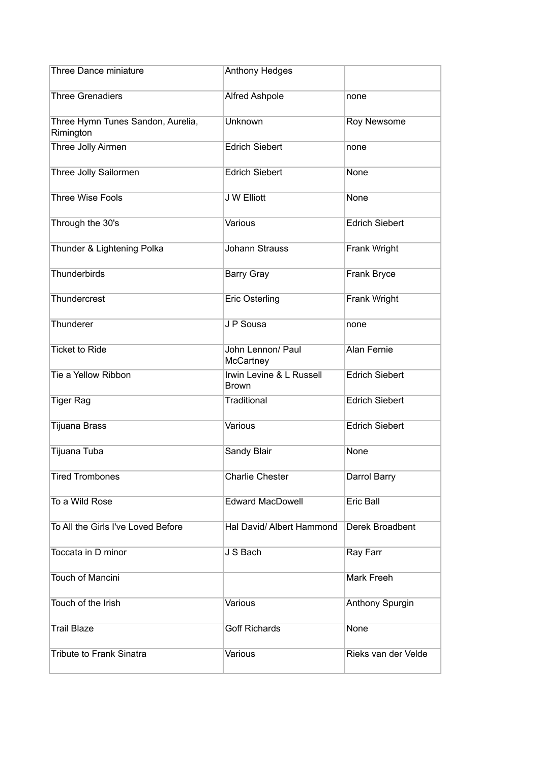| Three Dance miniature                          | Anthony Hedges                           |                       |
|------------------------------------------------|------------------------------------------|-----------------------|
| <b>Three Grenadiers</b>                        | Alfred Ashpole                           | none                  |
| Three Hymn Tunes Sandon, Aurelia,<br>Rimington | Unknown                                  | Roy Newsome           |
| Three Jolly Airmen                             | <b>Edrich Siebert</b>                    | none                  |
| Three Jolly Sailormen                          | <b>Edrich Siebert</b>                    | None                  |
| <b>Three Wise Fools</b>                        | J W Elliott                              | None                  |
| Through the 30's                               | Various                                  | <b>Edrich Siebert</b> |
| Thunder & Lightening Polka                     | <b>Johann Strauss</b>                    | Frank Wright          |
| Thunderbirds                                   | <b>Barry Gray</b>                        | Frank Bryce           |
| Thundercrest                                   | <b>Eric Osterling</b>                    | Frank Wright          |
| Thunderer                                      | J P Sousa                                | none                  |
| <b>Ticket to Ride</b>                          | John Lennon/ Paul<br>McCartney           | <b>Alan Fernie</b>    |
| Tie a Yellow Ribbon                            | Irwin Levine & L Russell<br><b>Brown</b> | <b>Edrich Siebert</b> |
| <b>Tiger Rag</b>                               | Traditional                              | <b>Edrich Siebert</b> |
| Tijuana Brass                                  | Various                                  | <b>Edrich Siebert</b> |
| Tijuana Tuba                                   | Sandy Blair                              | None                  |
| <b>Tired Trombones</b>                         | <b>Charlie Chester</b>                   | Darrol Barry          |
| To a Wild Rose                                 | <b>Edward MacDowell</b>                  | Eric Ball             |
| To All the Girls I've Loved Before             | Hal David/ Albert Hammond                | Derek Broadbent       |
| Toccata in D minor                             | J S Bach                                 | Ray Farr              |
| Touch of Mancini                               |                                          | Mark Freeh            |
| Touch of the Irish                             | Various                                  | Anthony Spurgin       |
| <b>Trail Blaze</b>                             | <b>Goff Richards</b>                     | None                  |
| <b>Tribute to Frank Sinatra</b>                | Various                                  | Rieks van der Velde   |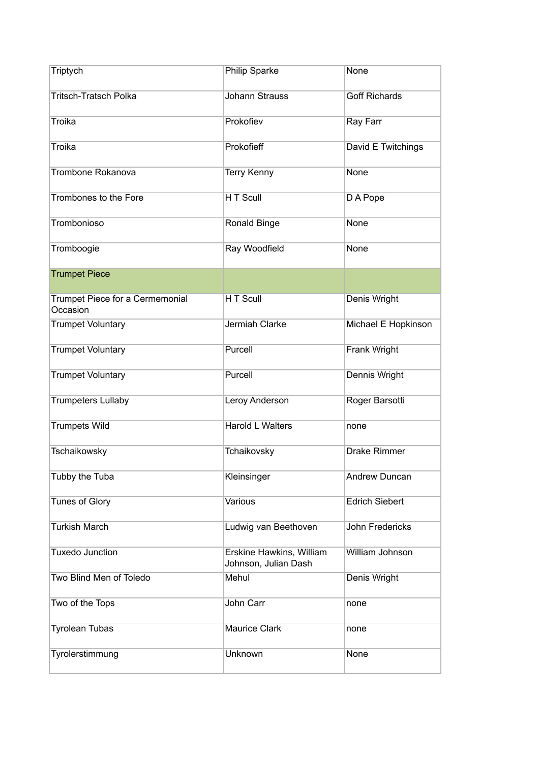| Triptych                                    | Philip Sparke                                    | None                   |
|---------------------------------------------|--------------------------------------------------|------------------------|
| <b>Tritsch-Tratsch Polka</b>                | <b>Johann Strauss</b>                            | <b>Goff Richards</b>   |
| <b>Troika</b>                               | Prokofiev                                        | Ray Farr               |
| Troika                                      | Prokofieff                                       | David E Twitchings     |
| Trombone Rokanova                           | <b>Terry Kenny</b>                               | <b>None</b>            |
| Trombones to the Fore                       | H T Scull                                        | D A Pope               |
| Trombonioso                                 | Ronald Binge                                     | None                   |
| Tromboogie                                  | Ray Woodfield                                    | <b>None</b>            |
| <b>Trumpet Piece</b>                        |                                                  |                        |
| Trumpet Piece for a Cermemonial<br>Occasion | H T Scull                                        | Denis Wright           |
| <b>Trumpet Voluntary</b>                    | Jermiah Clarke                                   | Michael E Hopkinson    |
| <b>Trumpet Voluntary</b>                    | Purcell                                          | Frank Wright           |
| <b>Trumpet Voluntary</b>                    | Purcell                                          | Dennis Wright          |
| <b>Trumpeters Lullaby</b>                   | Leroy Anderson                                   | Roger Barsotti         |
| <b>Trumpets Wild</b>                        | <b>Harold L Walters</b>                          | none                   |
| Tschaikowsky                                | Tchaikovsky                                      | Drake Rimmer           |
| Tubby the Tuba                              | Kleinsinger                                      | <b>Andrew Duncan</b>   |
| <b>Tunes of Glory</b>                       | Various                                          | <b>Edrich Siebert</b>  |
| <b>Turkish March</b>                        | Ludwig van Beethoven                             | <b>John Fredericks</b> |
| <b>Tuxedo Junction</b>                      | Erskine Hawkins, William<br>Johnson, Julian Dash | William Johnson        |
| Two Blind Men of Toledo                     | Mehul                                            | Denis Wright           |
| Two of the Tops                             | John Carr                                        | none                   |
| <b>Tyrolean Tubas</b>                       | <b>Maurice Clark</b>                             | none                   |
| Tyrolerstimmung                             | Unknown                                          | None                   |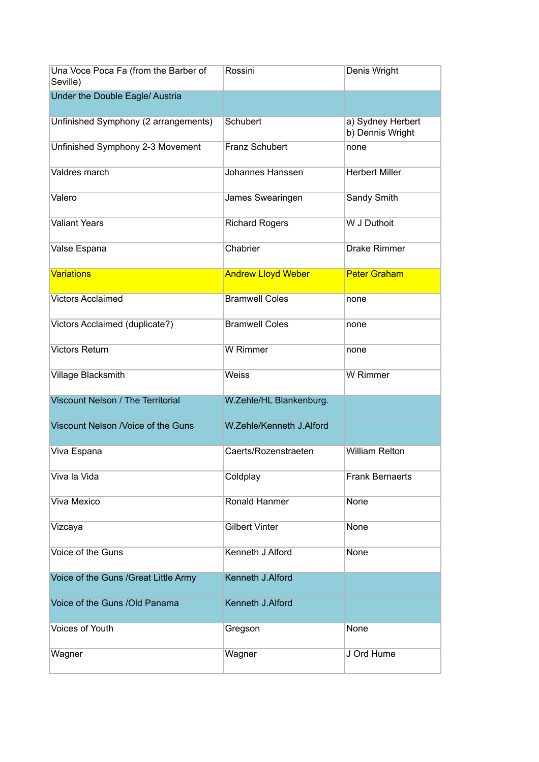| Una Voce Poca Fa (from the Barber of<br>Seville) | Rossini                   | Denis Wright                          |
|--------------------------------------------------|---------------------------|---------------------------------------|
| Under the Double Eagle/ Austria                  |                           |                                       |
| Unfinished Symphony (2 arrangements)             | Schubert                  | a) Sydney Herbert<br>b) Dennis Wright |
| Unfinished Symphony 2-3 Movement                 | Franz Schubert            | none                                  |
| Valdres march                                    | Johannes Hanssen          | <b>Herbert Miller</b>                 |
| Valero                                           | James Swearingen          | Sandy Smith                           |
| <b>Valiant Years</b>                             | <b>Richard Rogers</b>     | W J Duthoit                           |
| Valse Espana                                     | Chabrier                  | <b>Drake Rimmer</b>                   |
| <b>Variations</b>                                | <b>Andrew Lloyd Weber</b> | <b>Peter Graham</b>                   |
| <b>Victors Acclaimed</b>                         | <b>Bramwell Coles</b>     | none                                  |
| Victors Acclaimed (duplicate?)                   | <b>Bramwell Coles</b>     | none                                  |
| <b>Victors Return</b>                            | W Rimmer                  | none                                  |
| Village Blacksmith                               | <b>Weiss</b>              | W Rimmer                              |
| Viscount Nelson / The Territorial                | W.Zehle/HL Blankenburg.   |                                       |
| Viscount Nelson /Voice of the Guns               | W.Zehle/Kenneth J.Alford  |                                       |
| Viva Espana                                      | Caerts/Rozenstraeten      | <b>William Relton</b>                 |
| Viva la Vida                                     | Coldplay                  | <b>Frank Bernaerts</b>                |
| Viva Mexico                                      | Ronald Hanmer             | None                                  |
| Vizcaya                                          | <b>Gilbert Vinter</b>     | None                                  |
| Voice of the Guns                                | Kenneth J Alford          | None                                  |
| Voice of the Guns / Great Little Army            | Kenneth J.Alford          |                                       |
| Voice of the Guns /Old Panama                    | Kenneth J.Alford          |                                       |
| Voices of Youth                                  | Gregson                   | None                                  |
| Wagner                                           | Wagner                    | J Ord Hume                            |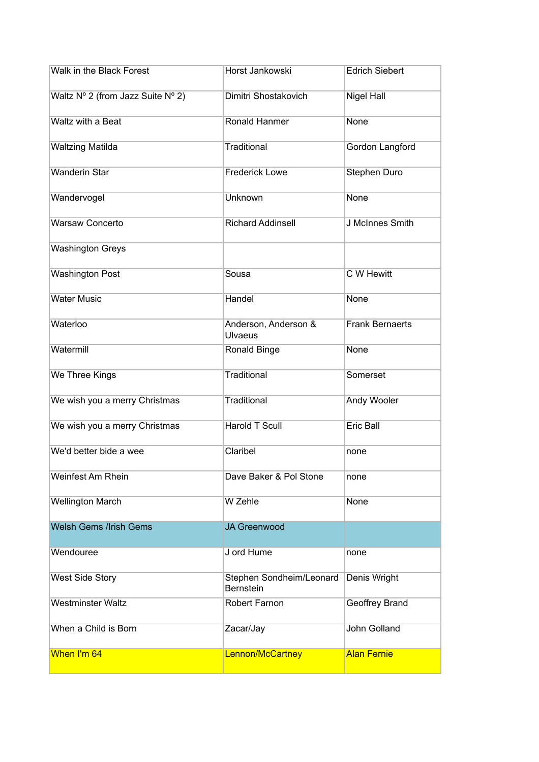| Walk in the Black Forest          | Horst Jankowski                        | <b>Edrich Siebert</b>  |
|-----------------------------------|----------------------------------------|------------------------|
| Waltz Nº 2 (from Jazz Suite Nº 2) | Dimitri Shostakovich                   | Nigel Hall             |
| Waltz with a Beat                 | Ronald Hanmer                          | None                   |
| <b>Waltzing Matilda</b>           | <b>Traditional</b>                     | Gordon Langford        |
| <b>Wanderin Star</b>              | <b>Frederick Lowe</b>                  | Stephen Duro           |
| Wandervogel                       | Unknown                                | None                   |
| <b>Warsaw Concerto</b>            | <b>Richard Addinsell</b>               | J McInnes Smith        |
| <b>Washington Greys</b>           |                                        |                        |
| <b>Washington Post</b>            | Sousa                                  | C W Hewitt             |
| <b>Water Music</b>                | Handel                                 | None                   |
| Waterloo                          | Anderson, Anderson &<br><b>Ulvaeus</b> | <b>Frank Bernaerts</b> |
| Watermill                         | Ronald Binge                           | None                   |
| We Three Kings                    | <b>Traditional</b>                     | Somerset               |
| We wish you a merry Christmas     | Traditional                            | Andy Wooler            |
| We wish you a merry Christmas     | <b>Harold T Scull</b>                  | <b>Eric Ball</b>       |
| We'd better bide a wee            | Claribel                               | none                   |
| Weinfest Am Rhein                 | Dave Baker & Pol Stone                 | none                   |
| <b>Wellington March</b>           | W Zehle                                | None                   |
| <b>Welsh Gems /Irish Gems</b>     | <b>JA Greenwood</b>                    |                        |
| Wendouree                         | J ord Hume                             | none                   |
| <b>West Side Story</b>            | Stephen Sondheim/Leonard<br>Bernstein  | Denis Wright           |
| <b>Westminster Waltz</b>          | Robert Farnon                          | Geoffrey Brand         |
| When a Child is Born              | Zacar/Jay                              | John Golland           |
| When I'm 64                       | Lennon/McCartney                       | <b>Alan Fernie</b>     |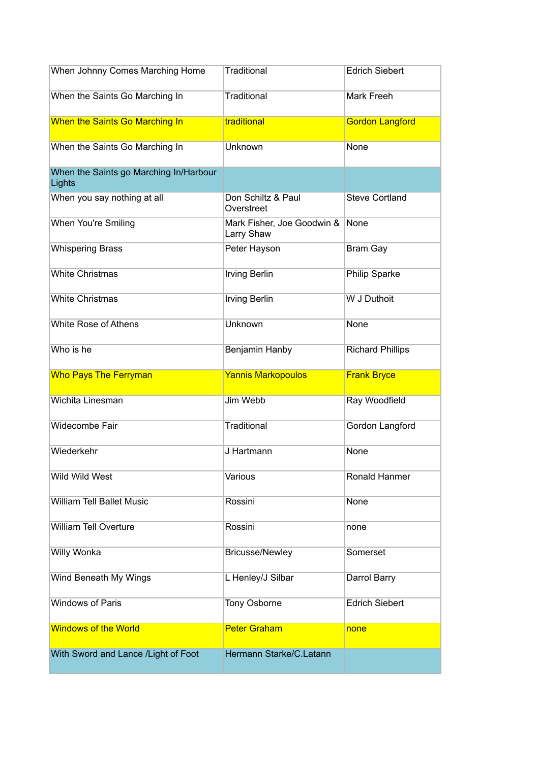| When Johnny Comes Marching Home                  | <b>Traditional</b>                       | <b>Edrich Siebert</b>   |
|--------------------------------------------------|------------------------------------------|-------------------------|
| When the Saints Go Marching In                   | <b>Traditional</b>                       | Mark Freeh              |
| When the Saints Go Marching In                   | traditional                              | <b>Gordon Langford</b>  |
| When the Saints Go Marching In                   | Unknown                                  | None                    |
| When the Saints go Marching In/Harbour<br>Lights |                                          |                         |
| When you say nothing at all                      | Don Schiltz & Paul<br>Overstreet         | <b>Steve Cortland</b>   |
| When You're Smiling                              | Mark Fisher, Joe Goodwin &<br>Larry Shaw | None                    |
| <b>Whispering Brass</b>                          | Peter Hayson                             | <b>Bram Gay</b>         |
| <b>White Christmas</b>                           | <b>Irving Berlin</b>                     | <b>Philip Sparke</b>    |
| <b>White Christmas</b>                           | <b>Irving Berlin</b>                     | W J Duthoit             |
| White Rose of Athens                             | Unknown                                  | None                    |
| Who is he                                        | Benjamin Hanby                           | <b>Richard Phillips</b> |
|                                                  |                                          |                         |
| <b>Who Pays The Ferryman</b>                     | <b>Yannis Markopoulos</b>                | <b>Frank Bryce</b>      |
| Wichita Linesman                                 | Jim Webb                                 | Ray Woodfield           |
| Widecombe Fair                                   | <b>Traditional</b>                       | Gordon Langford         |
| Wiederkehr                                       | J Hartmann                               | None                    |
| Wild Wild West                                   | Various                                  | Ronald Hanmer           |
| <b>William Tell Ballet Music</b>                 | Rossini                                  | None                    |
| <b>William Tell Overture</b>                     | Rossini                                  | none                    |
| Willy Wonka                                      | <b>Bricusse/Newley</b>                   | Somerset                |
| Wind Beneath My Wings                            | L Henley/J Silbar                        | Darrol Barry            |
| <b>Windows of Paris</b>                          | Tony Osborne                             | <b>Edrich Siebert</b>   |
| <b>Windows of the World</b>                      | <b>Peter Graham</b>                      | none                    |